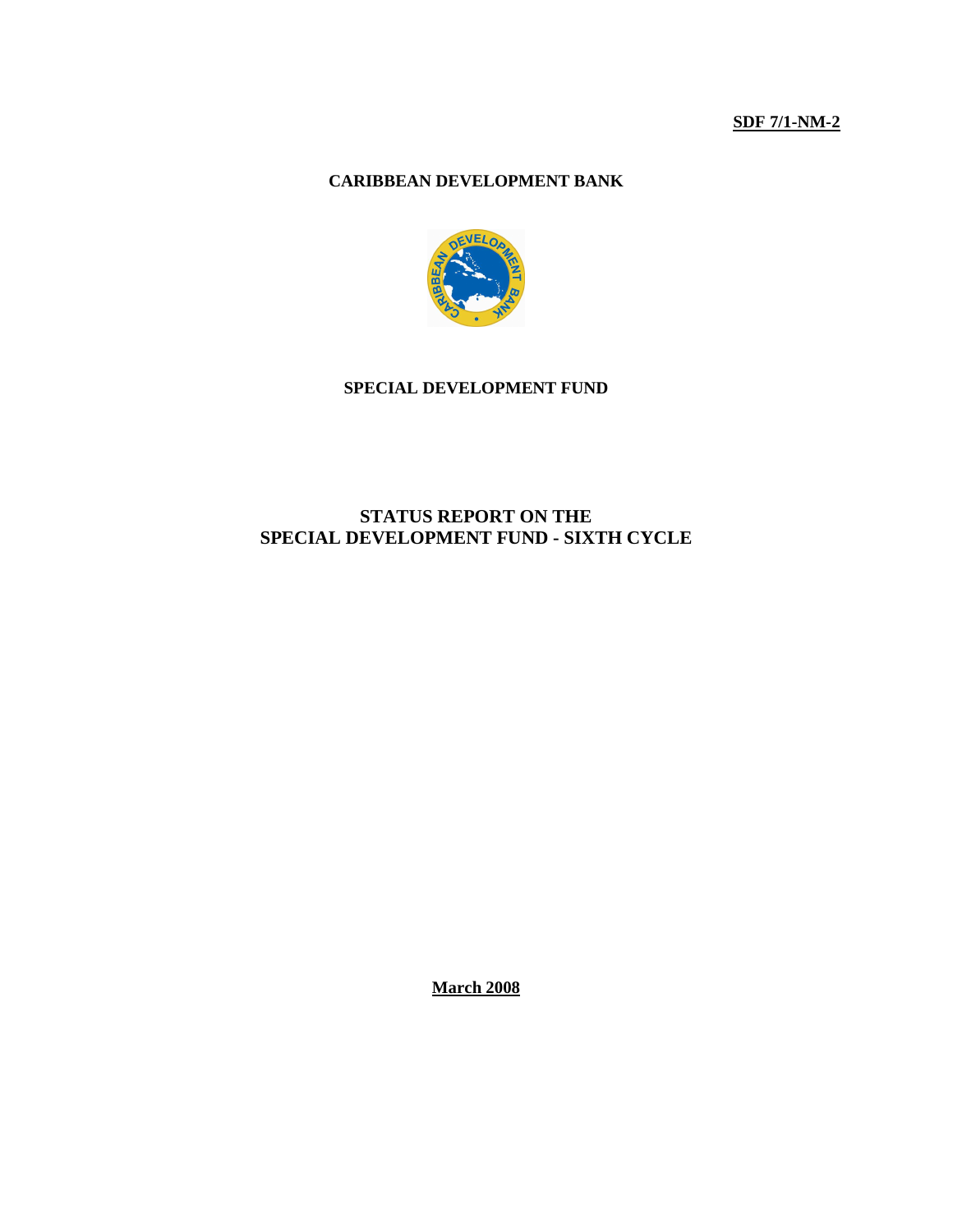**SDF 7/1-NM-2**

# **CARIBBEAN DEVELOPMENT BANK**



### **SPECIAL DEVELOPMENT FUND**

# **STATUS REPORT ON THE SPECIAL DEVELOPMENT FUND - SIXTH CYCLE**

**March 2008**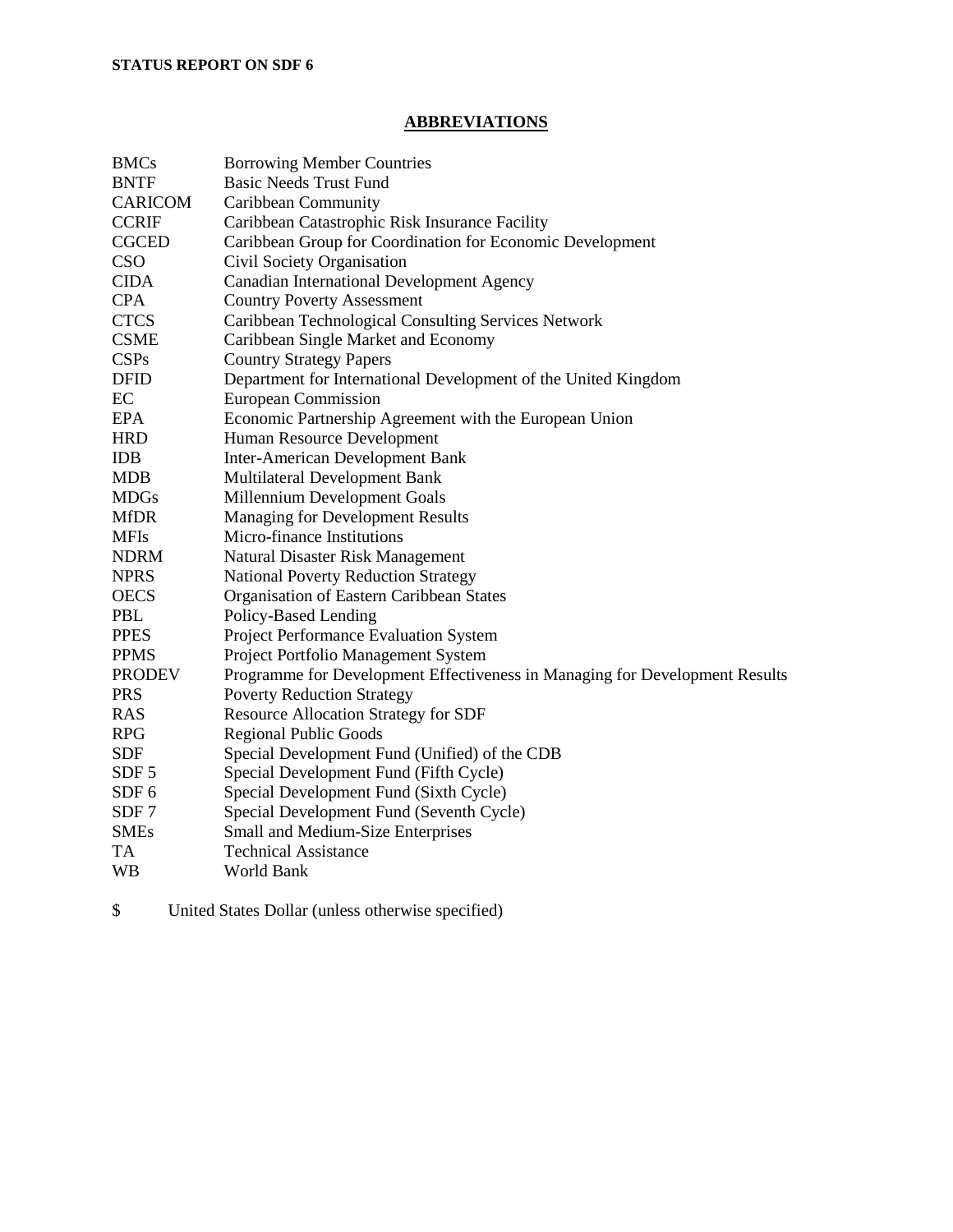# **ABBREVIATIONS**

| <b>BMCs</b><br><b>BNTF</b><br><b>CARICOM</b><br><b>CCRIF</b><br><b>CGCED</b><br><b>CSO</b><br><b>CIDA</b><br><b>CPA</b><br><b>CTCS</b> | <b>Borrowing Member Countries</b><br><b>Basic Needs Trust Fund</b><br>Caribbean Community<br>Caribbean Catastrophic Risk Insurance Facility<br>Caribbean Group for Coordination for Economic Development<br>Civil Society Organisation<br>Canadian International Development Agency<br><b>Country Poverty Assessment</b><br>Caribbean Technological Consulting Services Network |
|----------------------------------------------------------------------------------------------------------------------------------------|---------------------------------------------------------------------------------------------------------------------------------------------------------------------------------------------------------------------------------------------------------------------------------------------------------------------------------------------------------------------------------|
| <b>CSME</b>                                                                                                                            | Caribbean Single Market and Economy                                                                                                                                                                                                                                                                                                                                             |
| CSPs                                                                                                                                   | <b>Country Strategy Papers</b>                                                                                                                                                                                                                                                                                                                                                  |
| <b>DFID</b>                                                                                                                            | Department for International Development of the United Kingdom                                                                                                                                                                                                                                                                                                                  |
| EC                                                                                                                                     | European Commission                                                                                                                                                                                                                                                                                                                                                             |
| <b>EPA</b>                                                                                                                             | Economic Partnership Agreement with the European Union                                                                                                                                                                                                                                                                                                                          |
| <b>HRD</b>                                                                                                                             | Human Resource Development                                                                                                                                                                                                                                                                                                                                                      |
| <b>IDB</b>                                                                                                                             | <b>Inter-American Development Bank</b>                                                                                                                                                                                                                                                                                                                                          |
| <b>MDB</b>                                                                                                                             | Multilateral Development Bank                                                                                                                                                                                                                                                                                                                                                   |
| <b>MDGs</b>                                                                                                                            | Millennium Development Goals                                                                                                                                                                                                                                                                                                                                                    |
| <b>MfDR</b>                                                                                                                            | <b>Managing for Development Results</b>                                                                                                                                                                                                                                                                                                                                         |
| <b>MFIs</b>                                                                                                                            | Micro-finance Institutions                                                                                                                                                                                                                                                                                                                                                      |
| <b>NDRM</b>                                                                                                                            | Natural Disaster Risk Management                                                                                                                                                                                                                                                                                                                                                |
| <b>NPRS</b>                                                                                                                            | <b>National Poverty Reduction Strategy</b>                                                                                                                                                                                                                                                                                                                                      |
| <b>OECS</b>                                                                                                                            | Organisation of Eastern Caribbean States                                                                                                                                                                                                                                                                                                                                        |
| <b>PBL</b>                                                                                                                             | Policy-Based Lending                                                                                                                                                                                                                                                                                                                                                            |
| <b>PPES</b>                                                                                                                            | Project Performance Evaluation System                                                                                                                                                                                                                                                                                                                                           |
| <b>PPMS</b>                                                                                                                            | Project Portfolio Management System                                                                                                                                                                                                                                                                                                                                             |
| <b>PRODEV</b>                                                                                                                          | Programme for Development Effectiveness in Managing for Development Results                                                                                                                                                                                                                                                                                                     |
| <b>PRS</b>                                                                                                                             | <b>Poverty Reduction Strategy</b>                                                                                                                                                                                                                                                                                                                                               |
| <b>RAS</b>                                                                                                                             | <b>Resource Allocation Strategy for SDF</b>                                                                                                                                                                                                                                                                                                                                     |
| <b>RPG</b>                                                                                                                             | <b>Regional Public Goods</b>                                                                                                                                                                                                                                                                                                                                                    |
| <b>SDF</b>                                                                                                                             | Special Development Fund (Unified) of the CDB                                                                                                                                                                                                                                                                                                                                   |
| SDF <sub>5</sub>                                                                                                                       | Special Development Fund (Fifth Cycle)                                                                                                                                                                                                                                                                                                                                          |
| SDF <sub>6</sub>                                                                                                                       | Special Development Fund (Sixth Cycle)                                                                                                                                                                                                                                                                                                                                          |
| SDF <sub>7</sub>                                                                                                                       | Special Development Fund (Seventh Cycle)                                                                                                                                                                                                                                                                                                                                        |
| <b>SMEs</b>                                                                                                                            | Small and Medium-Size Enterprises                                                                                                                                                                                                                                                                                                                                               |
| TA                                                                                                                                     | <b>Technical Assistance</b>                                                                                                                                                                                                                                                                                                                                                     |
| <b>WB</b>                                                                                                                              | World Bank                                                                                                                                                                                                                                                                                                                                                                      |

\$ United States Dollar (unless otherwise specified)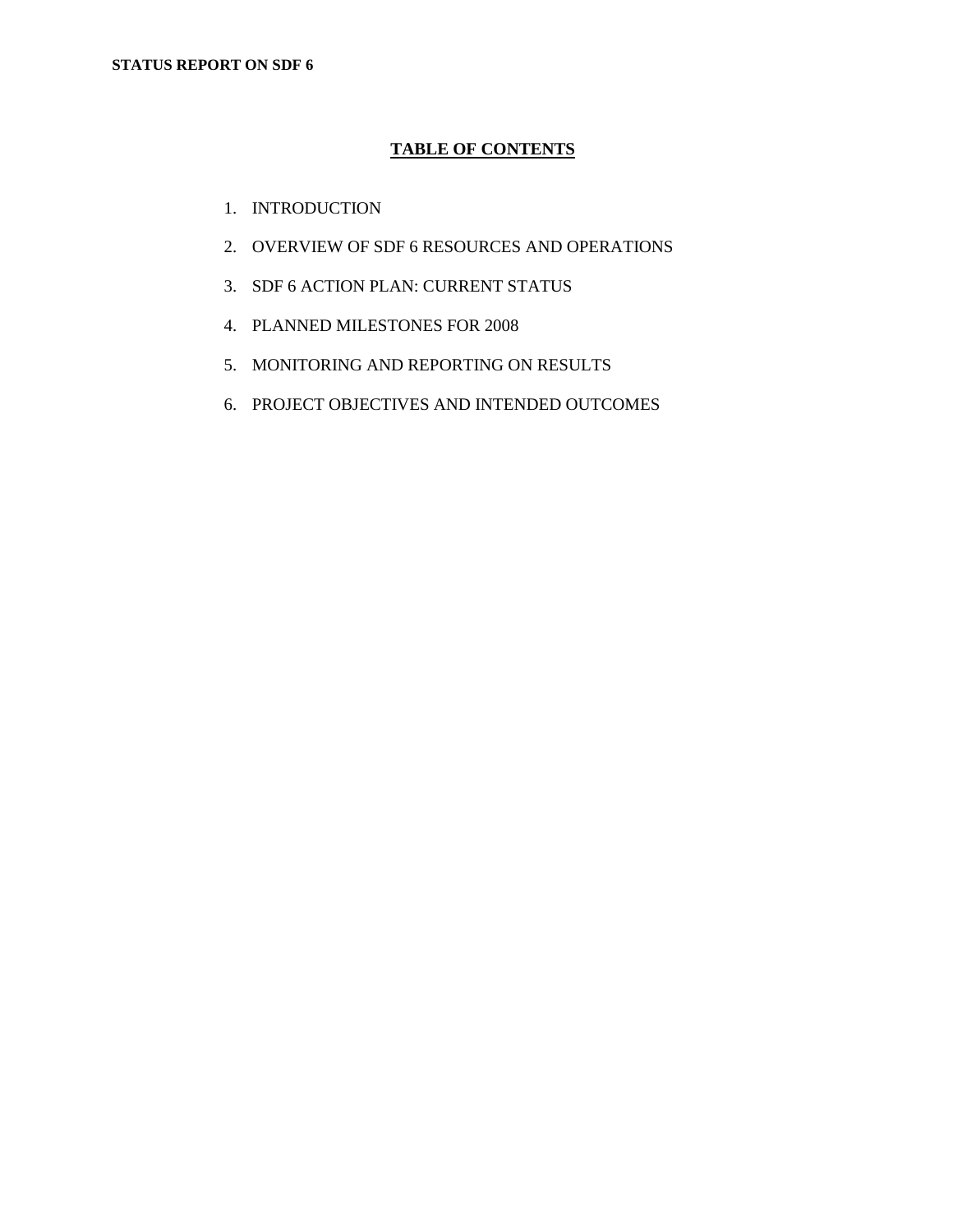# **TABLE OF CONTENTS**

- 1. INTRODUCTION
- 2. OVERVIEW OF SDF 6 RESOURCES AND OPERATIONS
- 3. SDF 6 ACTION PLAN: CURRENT STATUS
- 4. PLANNED MILESTONES FOR 2008
- 5. MONITORING AND REPORTING ON RESULTS
- 6. PROJECT OBJECTIVES AND INTENDED OUTCOMES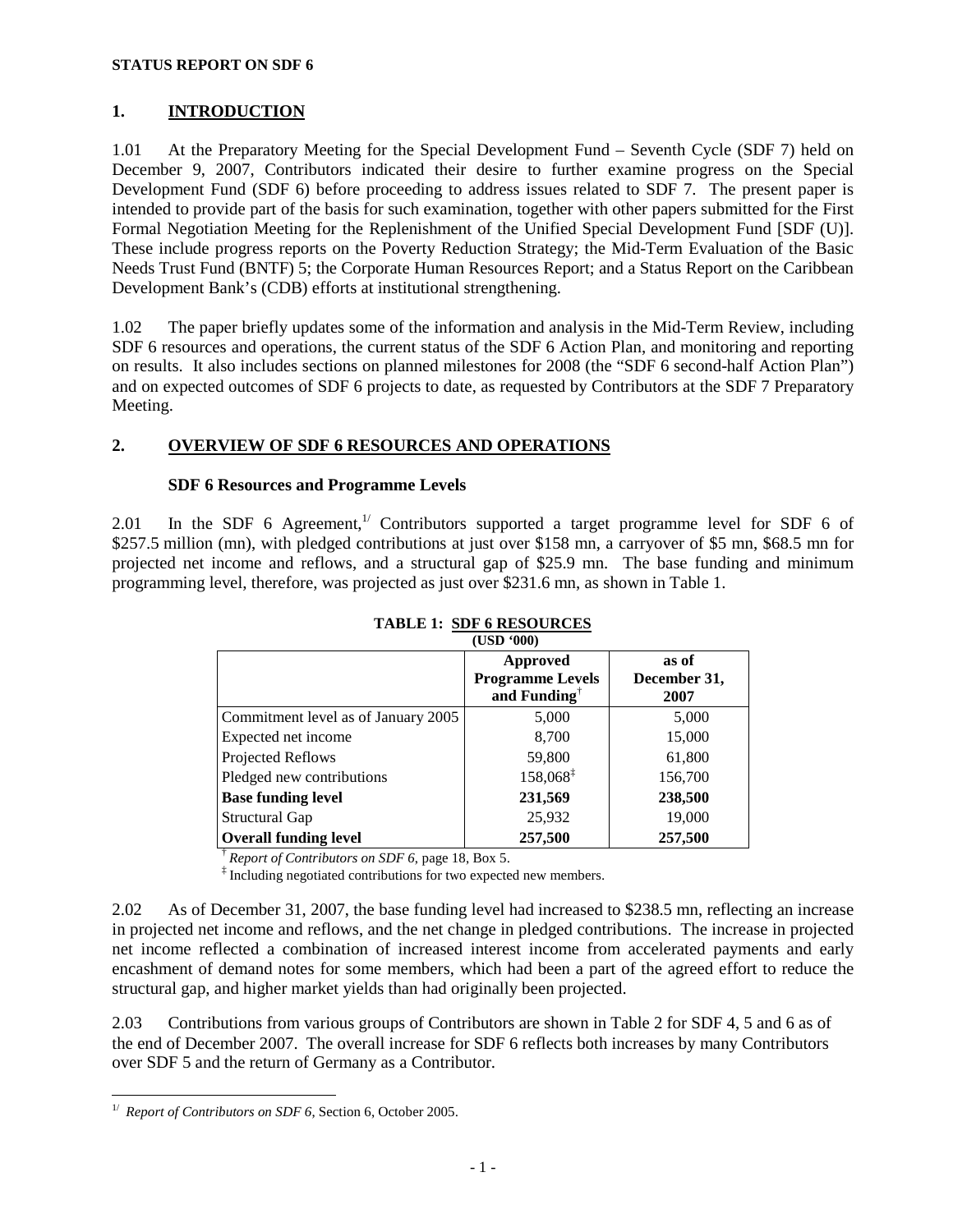# **1. INTRODUCTION**

1.01 At the Preparatory Meeting for the Special Development Fund – Seventh Cycle (SDF 7) held on December 9, 2007, Contributors indicated their desire to further examine progress on the Special Development Fund (SDF 6) before proceeding to address issues related to SDF 7. The present paper is intended to provide part of the basis for such examination, together with other papers submitted for the First Formal Negotiation Meeting for the Replenishment of the Unified Special Development Fund [SDF (U)]. These include progress reports on the Poverty Reduction Strategy; the Mid-Term Evaluation of the Basic Needs Trust Fund (BNTF) 5; the Corporate Human Resources Report; and a Status Report on the Caribbean Development Bank's (CDB) efforts at institutional strengthening.

1.02 The paper briefly updates some of the information and analysis in the Mid-Term Review, including SDF 6 resources and operations, the current status of the SDF 6 Action Plan, and monitoring and reporting on results. It also includes sections on planned milestones for 2008 (the "SDF 6 second-half Action Plan") and on expected outcomes of SDF 6 projects to date, as requested by Contributors at the SDF 7 Preparatory Meeting.

## **2. OVERVIEW OF SDF 6 RESOURCES AND OPERATIONS**

## **SDF 6 Resources and Programme Levels**

2.01 In the SDF 6 Agreement,<sup> $1/1$ </sup> Contributors supported a target programme level for SDF 6 of \$257.5 million (mn), with pledged contributions at just over \$158 mn, a carryover of \$5 mn, \$68.5 mn for projected net income and reflows, and a structural gap of \$25.9 mn. The base funding and minimum programming level, therefore, was projected as just over \$231.6 mn, as shown in Table 1.

|                                     | וטטט עכטו                                                              |                               |
|-------------------------------------|------------------------------------------------------------------------|-------------------------------|
|                                     | <b>Approved</b><br><b>Programme Levels</b><br>and Funding <sup>†</sup> | as of<br>December 31,<br>2007 |
| Commitment level as of January 2005 | 5,000                                                                  | 5,000                         |
| Expected net income                 | 8,700                                                                  | 15,000                        |
| Projected Reflows                   | 59,800                                                                 | 61,800                        |
| Pledged new contributions           | 158,068 <sup>‡</sup>                                                   | 156,700                       |
| <b>Base funding level</b>           | 231,569                                                                | 238,500                       |
| Structural Gap                      | 25,932                                                                 | 19,000                        |
| <b>Overall funding level</b>        | 257,500                                                                | 257,500                       |

#### **TABLE 1: SDF 6 RESOURCES (USD '000)**

† *Report of Contributors on SDF 6*, page 18, Box 5.

‡ Including negotiated contributions for two expected new members.

2.02 As of December 31, 2007, the base funding level had increased to \$238.5 mn, reflecting an increase in projected net income and reflows, and the net change in pledged contributions. The increase in projected net income reflected a combination of increased interest income from accelerated payments and early encashment of demand notes for some members, which had been a part of the agreed effort to reduce the structural gap, and higher market yields than had originally been projected.

2.03 Contributions from various groups of Contributors are shown in Table 2 for SDF 4, 5 and 6 as of the end of December 2007. The overall increase for SDF 6 reflects both increases by many Contributors over SDF 5 and the return of Germany as a Contributor.

<sup>&</sup>lt;u>.</u> <sup>1/</sup> *Report of Contributors on SDF 6*, Section 6, October 2005.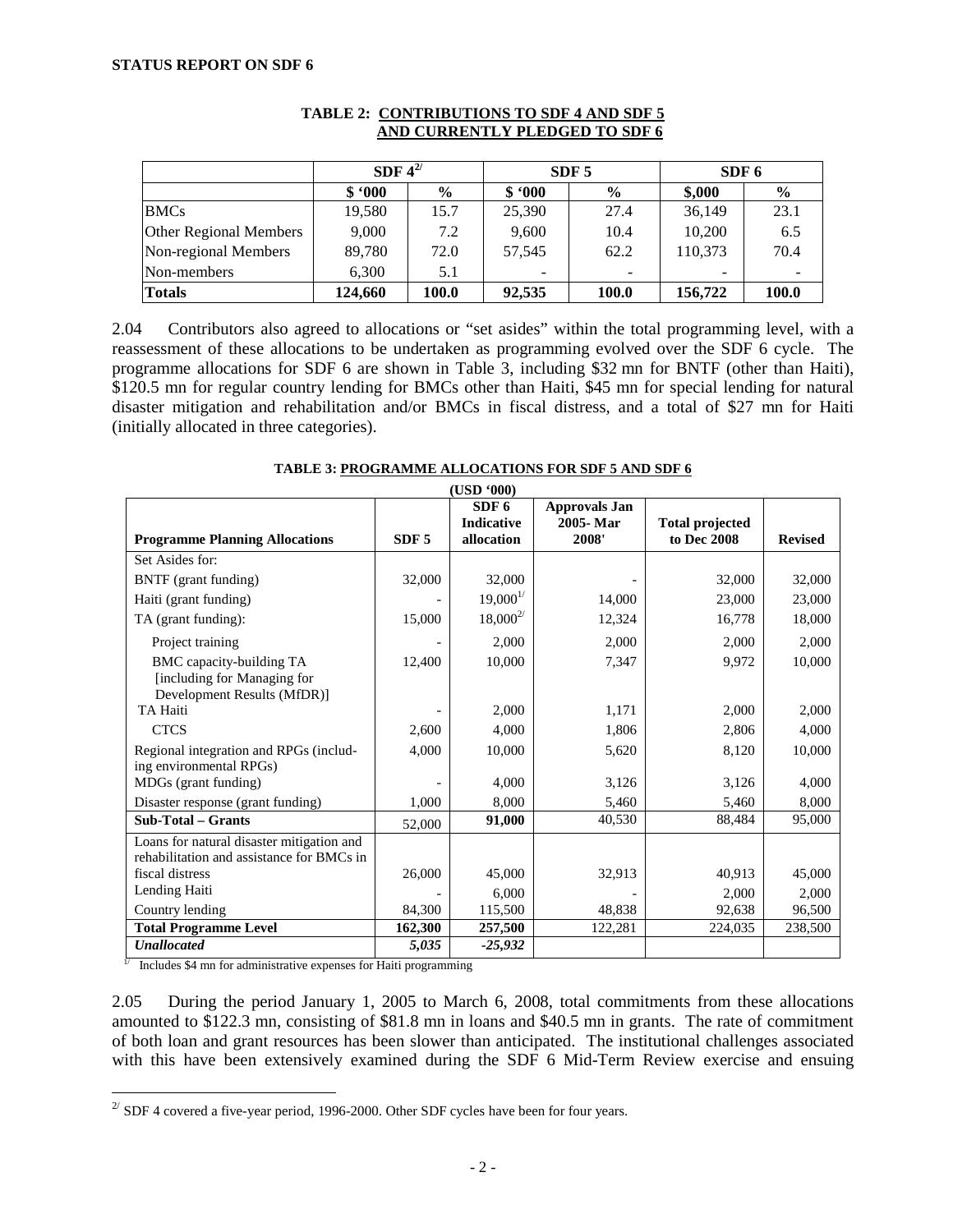|                        | SDF $4^{2/}$ |               |        | SDF <sub>5</sub>         | SDF <sub>6</sub> |               |
|------------------------|--------------|---------------|--------|--------------------------|------------------|---------------|
|                        | \$.000       | $\frac{6}{9}$ | \$.000 | $\frac{6}{9}$            | \$,000           | $\frac{6}{9}$ |
| <b>BMCs</b>            | 19,580       | 15.7          | 25,390 | 27.4                     | 36,149           | 23.1          |
| Other Regional Members | 9.000        | 7.2           | 9,600  | 10.4                     | 10.200           | 6.5           |
| Non-regional Members   | 89,780       | 72.0          | 57,545 | 62.2                     | 110,373          | 70.4          |
| Non-members            | 6.300        | 5.1           |        | $\overline{\phantom{a}}$ | -                |               |
| <b>Totals</b>          | 124,660      | 100.0         | 92,535 | 100.0                    | 156,722          | 100.0         |

#### **TABLE 2: CONTRIBUTIONS TO SDF 4 AND SDF 5 AND CURRENTLY PLEDGED TO SDF 6**

2.04 Contributors also agreed to allocations or "set asides" within the total programming level, with a reassessment of these allocations to be undertaken as programming evolved over the SDF 6 cycle. The programme allocations for SDF 6 are shown in Table 3, including \$32 mn for BNTF (other than Haiti), \$120.5 mn for regular country lending for BMCs other than Haiti, \$45 mn for special lending for natural disaster mitigation and rehabilitation and/or BMCs in fiscal distress, and a total of \$27 mn for Haiti (initially allocated in three categories).

| <b>TABLE 3: PROGRAMME ALLOCATIONS FOR SDF 5 AND SDF 6</b> |  |
|-----------------------------------------------------------|--|
|                                                           |  |

|                                                                                        |                  | (USD *000)                                   |                                           |                                       |                |
|----------------------------------------------------------------------------------------|------------------|----------------------------------------------|-------------------------------------------|---------------------------------------|----------------|
| <b>Programme Planning Allocations</b>                                                  | SDF <sub>5</sub> | SDF <sub>6</sub><br>Indicative<br>allocation | <b>Approvals Jan</b><br>2005-Mar<br>2008' | <b>Total projected</b><br>to Dec 2008 | <b>Revised</b> |
| Set Asides for:                                                                        |                  |                                              |                                           |                                       |                |
| BNTF (grant funding)                                                                   | 32,000           | 32,000                                       |                                           | 32,000                                | 32,000         |
| Haiti (grant funding)                                                                  |                  | $19,000^{1/}$                                | 14,000                                    | 23,000                                | 23,000         |
| TA (grant funding):                                                                    | 15,000           | $18,000^{2/}$                                | 12,324                                    | 16,778                                | 18,000         |
| Project training                                                                       |                  | 2,000                                        | 2,000                                     | 2,000                                 | 2,000          |
| BMC capacity-building TA<br>[including for Managing for<br>Development Results (MfDR)] | 12,400           | 10,000                                       | 7,347                                     | 9,972                                 | 10,000         |
| TA Haiti                                                                               |                  | 2,000                                        | 1,171                                     | 2,000                                 | 2,000          |
| <b>CTCS</b>                                                                            | 2,600            | 4,000                                        | 1,806                                     | 2,806                                 | 4,000          |
| Regional integration and RPGs (includ-<br>ing environmental RPGs)                      | 4,000            | 10,000                                       | 5,620                                     | 8,120                                 | 10,000         |
| MDGs (grant funding)                                                                   |                  | 4,000                                        | 3,126                                     | 3,126                                 | 4,000          |
| Disaster response (grant funding)                                                      | 1,000            | 8,000                                        | 5,460                                     | 5,460                                 | 8,000          |
| <b>Sub-Total - Grants</b>                                                              | 52,000           | 91,000                                       | 40,530                                    | 88,484                                | 95,000         |
| Loans for natural disaster mitigation and<br>rehabilitation and assistance for BMCs in |                  |                                              |                                           |                                       |                |
| fiscal distress                                                                        | 26,000           | 45,000                                       | 32,913                                    | 40,913                                | 45,000         |
| Lending Haiti                                                                          |                  | 6,000                                        |                                           | 2,000                                 | 2,000          |
| Country lending                                                                        | 84,300           | 115,500                                      | 48,838                                    | 92,638                                | 96,500         |
| <b>Total Programme Level</b>                                                           | 162,300          | 257,500                                      | 122,281                                   | 224,035                               | 238,500        |
| <b>Unallocated</b>                                                                     | 5,035            | $-25,932$                                    |                                           |                                       |                |

 $\frac{1}{1}$  Includes \$4 mn for administrative expenses for Haiti programming

<u>.</u>

2.05 During the period January 1, 2005 to March 6, 2008, total commitments from these allocations amounted to \$122.3 mn, consisting of \$81.8 mn in loans and \$40.5 mn in grants. The rate of commitment of both loan and grant resources has been slower than anticipated. The institutional challenges associated with this have been extensively examined during the SDF 6 Mid-Term Review exercise and ensuing

 $^{27}$  SDF 4 covered a five-year period, 1996-2000. Other SDF cycles have been for four years.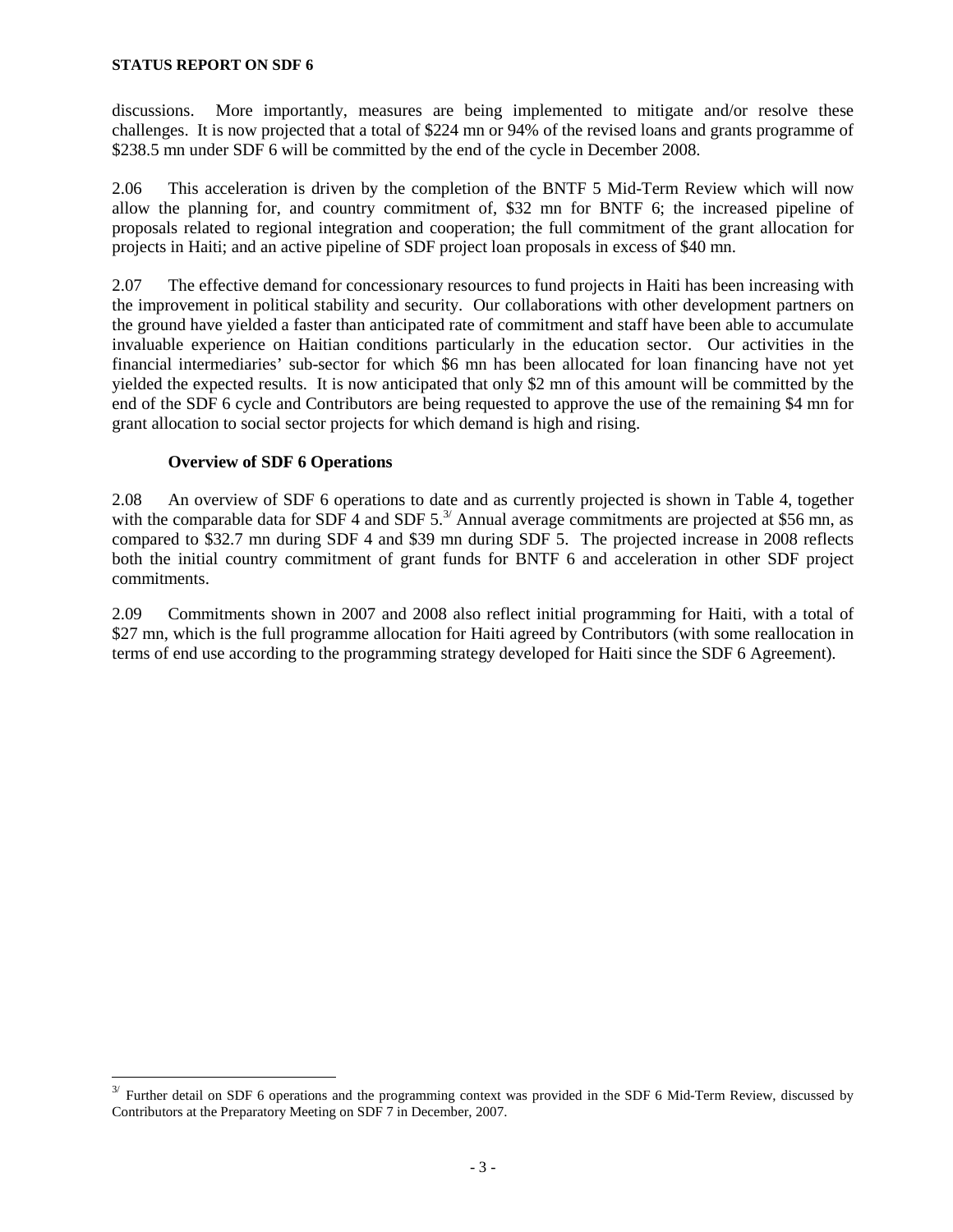discussions. More importantly, measures are being implemented to mitigate and/or resolve these challenges. It is now projected that a total of \$224 mn or 94% of the revised loans and grants programme of \$238.5 mn under SDF 6 will be committed by the end of the cycle in December 2008.

2.06 This acceleration is driven by the completion of the BNTF 5 Mid-Term Review which will now allow the planning for, and country commitment of, \$32 mn for BNTF 6; the increased pipeline of proposals related to regional integration and cooperation; the full commitment of the grant allocation for projects in Haiti; and an active pipeline of SDF project loan proposals in excess of \$40 mn.

2.07 The effective demand for concessionary resources to fund projects in Haiti has been increasing with the improvement in political stability and security. Our collaborations with other development partners on the ground have yielded a faster than anticipated rate of commitment and staff have been able to accumulate invaluable experience on Haitian conditions particularly in the education sector. Our activities in the financial intermediaries' sub-sector for which \$6 mn has been allocated for loan financing have not yet yielded the expected results. It is now anticipated that only \$2 mn of this amount will be committed by the end of the SDF 6 cycle and Contributors are being requested to approve the use of the remaining \$4 mn for grant allocation to social sector projects for which demand is high and rising.

## **Overview of SDF 6 Operations**

<u>.</u>

2.08 An overview of SDF 6 operations to date and as currently projected is shown in Table 4, together with the comparable data for SDF 4 and SDF  $5.^3$  Annual average commitments are projected at \$56 mn, as compared to \$32.7 mn during SDF 4 and \$39 mn during SDF 5. The projected increase in 2008 reflects both the initial country commitment of grant funds for BNTF 6 and acceleration in other SDF project commitments.

2.09 Commitments shown in 2007 and 2008 also reflect initial programming for Haiti, with a total of \$27 mn, which is the full programme allocation for Haiti agreed by Contributors (with some reallocation in terms of end use according to the programming strategy developed for Haiti since the SDF 6 Agreement).

 $3/$  Further detail on SDF 6 operations and the programming context was provided in the SDF 6 Mid-Term Review, discussed by Contributors at the Preparatory Meeting on SDF 7 in December, 2007.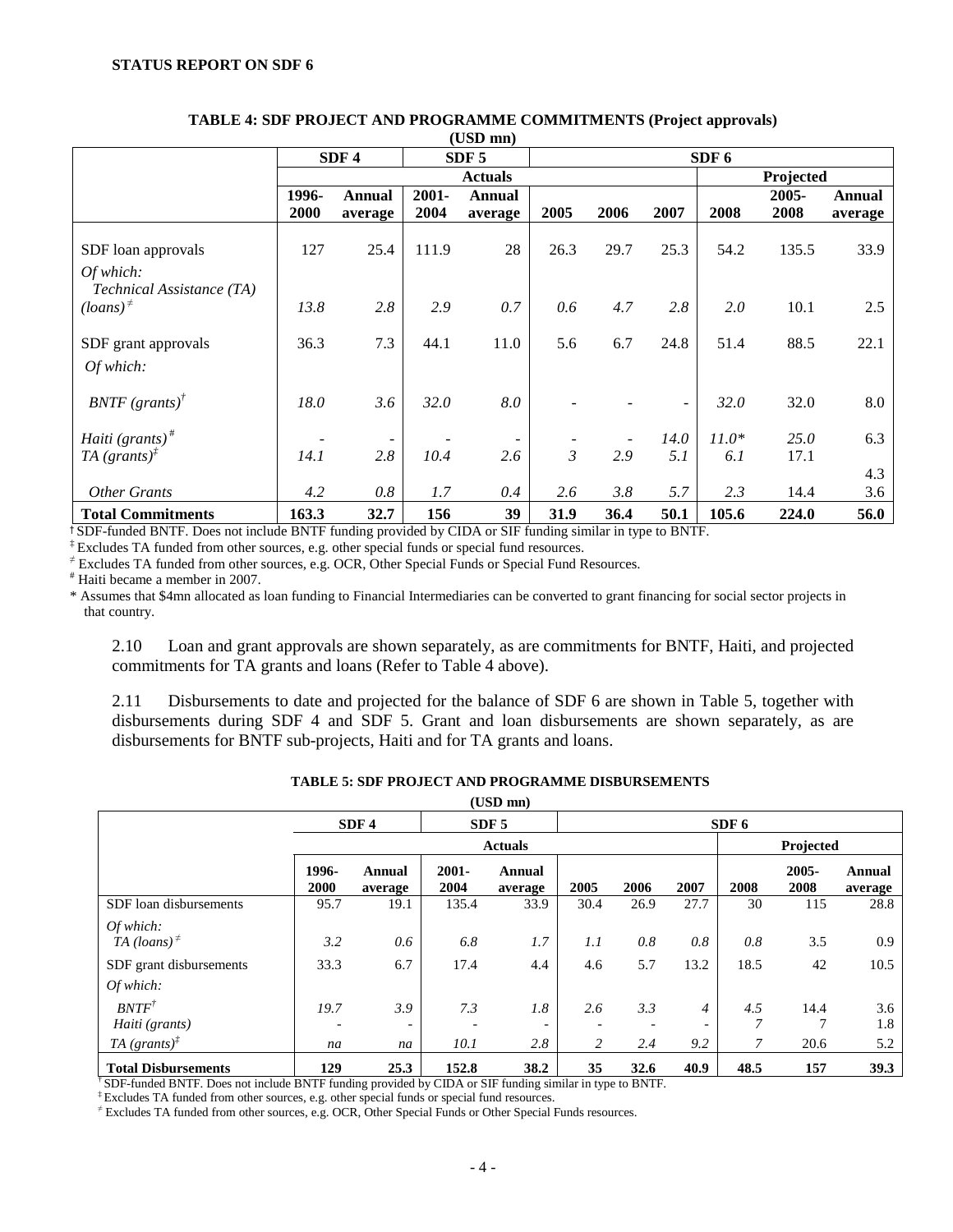|                                                                                    |       | SDF <sub>4</sub> |          | SDF <sub>5</sub> |                |                          |      | SDF 6     |       |               |
|------------------------------------------------------------------------------------|-------|------------------|----------|------------------|----------------|--------------------------|------|-----------|-------|---------------|
|                                                                                    |       |                  |          | <b>Actuals</b>   |                |                          |      | Projected |       |               |
|                                                                                    | 1996- | Annual           | $2001 -$ | <b>Annual</b>    |                |                          |      |           | 2005- | <b>Annual</b> |
|                                                                                    | 2000  | average          | 2004     | average          | 2005           | 2006                     | 2007 | 2008      | 2008  | average       |
| SDF loan approvals<br>Of which:                                                    | 127   | 25.4             | 111.9    | 28               | 26.3           | 29.7                     | 25.3 | 54.2      | 135.5 | 33.9          |
| Technical Assistance (TA)<br>$\left($ loans $\right)$ <sup><math>\neq</math></sup> | 13.8  | 2.8              | 2.9      | 0.7              | 0.6            | 4.7                      | 2.8  | 2.0       | 10.1  | 2.5           |
| SDF grant approvals                                                                | 36.3  | 7.3              | 44.1     | 11.0             | 5.6            | 6.7                      | 24.8 | 51.4      | 88.5  | 22.1          |
| Of which:                                                                          |       |                  |          |                  |                |                          |      |           |       |               |
| $BNTF$ (grants) <sup>†</sup>                                                       | 18.0  | 3.6              | 32.0     | 8.0              |                |                          |      | 32.0      | 32.0  | 8.0           |
| <i>Haiti</i> $(grants)^*$                                                          |       |                  |          |                  |                | $\overline{\phantom{m}}$ | 14.0 | $11.0*$   | 25.0  | 6.3           |
| TA $(grants)^{\ddagger}$                                                           | 14.1  | 2.8              | 10.4     | 2.6              | $\mathfrak{Z}$ | 2.9                      | 5.1  | 6.1       | 17.1  |               |
|                                                                                    |       |                  |          |                  |                |                          |      |           |       | 4.3           |
| <b>Other Grants</b>                                                                | 4.2   | 0.8              | 1.7      | 0.4              | 2.6            | 3.8                      | 5.7  | 2.3       | 14.4  | 3.6           |
| <b>Total Commitments</b>                                                           | 163.3 | 32.7             | 156      | 39               | 31.9           | 36.4                     | 50.1 | 105.6     | 224.0 | 56.0          |

#### **TABLE 4: SDF PROJECT AND PROGRAMME COMMITMENTS (Project approvals)**   $(T$  $[CD, mn)$

† SDF-funded BNTF. Does not include BNTF funding provided by CIDA or SIF funding similar in type to BNTF.

‡ Excludes TA funded from other sources, e.g. other special funds or special fund resources.

≠ Excludes TA funded from other sources, e.g. OCR, Other Special Funds or Special Fund Resources.

# Haiti became a member in 2007.

\* Assumes that \$4mn allocated as loan funding to Financial Intermediaries can be converted to grant financing for social sector projects in that country.

2.10 Loan and grant approvals are shown separately, as are commitments for BNTF, Haiti, and projected commitments for TA grants and loans (Refer to Table 4 above).

2.11 Disbursements to date and projected for the balance of SDF 6 are shown in Table 5, together with disbursements during SDF 4 and SDF 5. Grant and loan disbursements are shown separately, as are disbursements for BNTF sub-projects, Haiti and for TA grants and loans.

| $(USD\ nm)$                                                    |                                      |                   |                  |                   |          |            |                       |                            |                  |                   |
|----------------------------------------------------------------|--------------------------------------|-------------------|------------------|-------------------|----------|------------|-----------------------|----------------------------|------------------|-------------------|
|                                                                | SDF <sub>4</sub><br>SDF <sub>5</sub> |                   |                  | SDF 6             |          |            |                       |                            |                  |                   |
|                                                                |                                      |                   |                  | <b>Actuals</b>    |          |            |                       | Projected                  |                  |                   |
|                                                                | 1996-<br>2000                        | Annual<br>average | $2001 -$<br>2004 | Annual<br>average | 2005     | 2006       | 2007                  | 2008                       | $2005 -$<br>2008 | Annual<br>average |
| SDF loan disbursements                                         | 95.7                                 | 19.1              | 135.4            | 33.9              | 30.4     | 26.9       | 27.7                  | 30                         | 115              | 28.8              |
| Of which:<br>TA (loans) <sup><math>\neq</math></sup>           | 3.2                                  | 0.6               | 6.8              | 1.7               | 1.1      | 0.8        | 0.8                   | 0.8                        | 3.5              | 0.9               |
| SDF grant disbursements<br>Of which:                           | 33.3                                 | 6.7               | 17.4             | 4.4               | 4.6      | 5.7        | 13.2                  | 18.5                       | 42               | 10.5              |
| $BNTF^{\dagger}$<br>Haiti (grants)<br>TA $(grants)^{\ddagger}$ | 19.7<br>na                           | 3.9<br>-<br>na    | 7.3<br>10.1      | 1.8<br>2.8        | 2.6<br>2 | 3.3<br>2.4 | $\overline{4}$<br>9.2 | 4.5<br>$\overline{7}$<br>7 | 14.4<br>20.6     | 3.6<br>1.8<br>5.2 |
| <b>Total Disbursements</b>                                     | 129                                  | 25.3              | 152.8            | 38.2              | 35       | 32.6       | 40.9                  | 48.5                       | 157              | 39.3              |

**TABLE 5: SDF PROJECT AND PROGRAMME DISBURSEMENTS** 

† SDF-funded BNTF. Does not include BNTF funding provided by CIDA or SIF funding similar in type to BNTF.

‡ Excludes TA funded from other sources, e.g. other special funds or special fund resources.

≠ Excludes TA funded from other sources, e.g. OCR, Other Special Funds or Other Special Funds resources.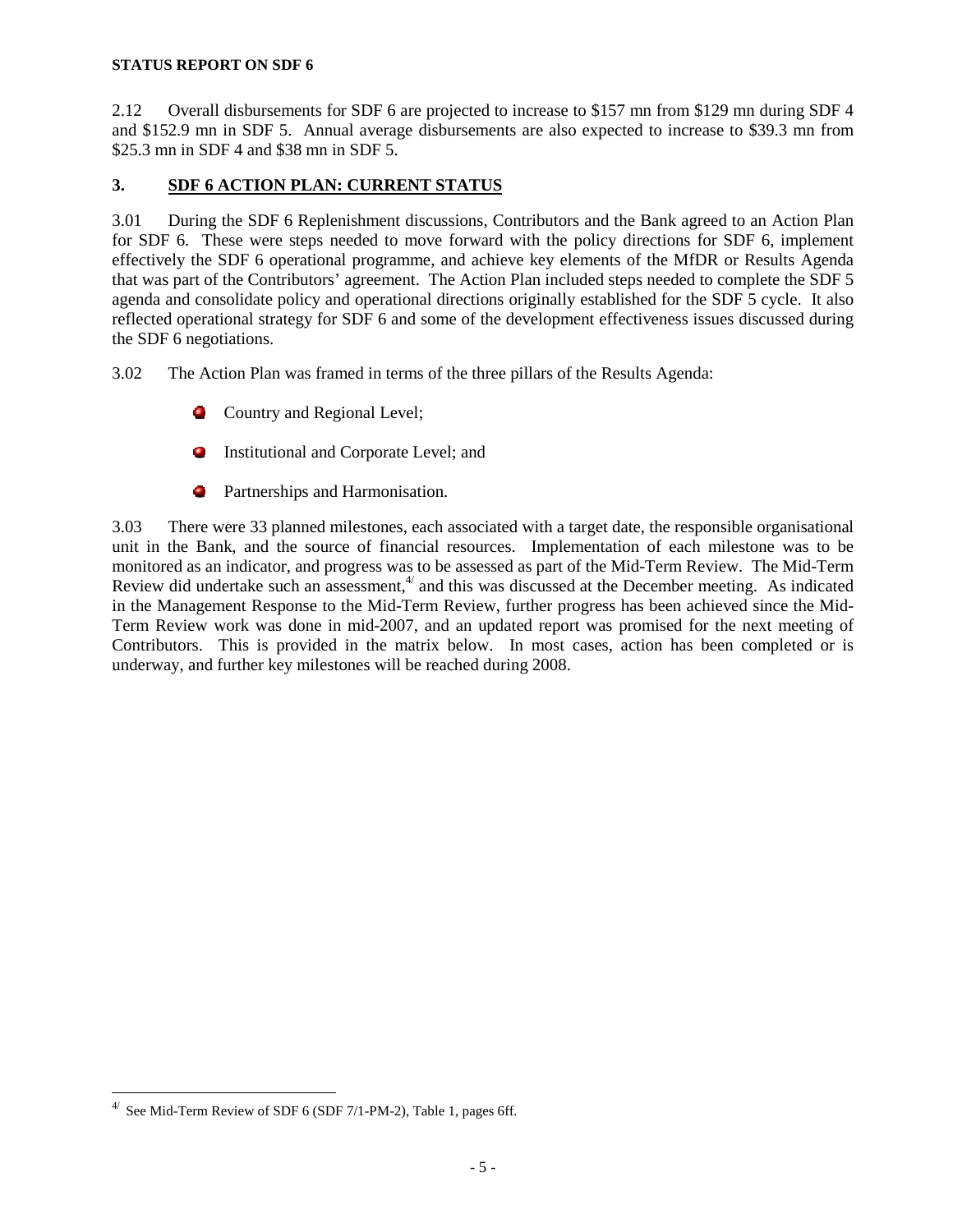2.12 Overall disbursements for SDF 6 are projected to increase to \$157 mn from \$129 mn during SDF 4 and \$152.9 mn in SDF 5. Annual average disbursements are also expected to increase to \$39.3 mn from \$25.3 mn in SDF 4 and \$38 mn in SDF 5.

## **3. SDF 6 ACTION PLAN: CURRENT STATUS**

3.01 During the SDF 6 Replenishment discussions, Contributors and the Bank agreed to an Action Plan for SDF 6. These were steps needed to move forward with the policy directions for SDF 6, implement effectively the SDF 6 operational programme, and achieve key elements of the MfDR or Results Agenda that was part of the Contributors' agreement. The Action Plan included steps needed to complete the SDF 5 agenda and consolidate policy and operational directions originally established for the SDF 5 cycle. It also reflected operational strategy for SDF 6 and some of the development effectiveness issues discussed during the SDF 6 negotiations.

3.02 The Action Plan was framed in terms of the three pillars of the Results Agenda:

- **Country and Regional Level;**
- **Institutional and Corporate Level; and**
- **Partnerships and Harmonisation.**

3.03 There were 33 planned milestones, each associated with a target date, the responsible organisational unit in the Bank, and the source of financial resources. Implementation of each milestone was to be monitored as an indicator, and progress was to be assessed as part of the Mid-Term Review. The Mid-Term Review did undertake such an assessment, $4'$  and this was discussed at the December meeting. As indicated in the Management Response to the Mid-Term Review, further progress has been achieved since the Mid-Term Review work was done in mid-2007, and an updated report was promised for the next meeting of Contributors. This is provided in the matrix below. In most cases, action has been completed or is underway, and further key milestones will be reached during 2008.

<u>.</u>

 $4/$  See Mid-Term Review of SDF 6 (SDF 7/1-PM-2), Table 1, pages 6ff.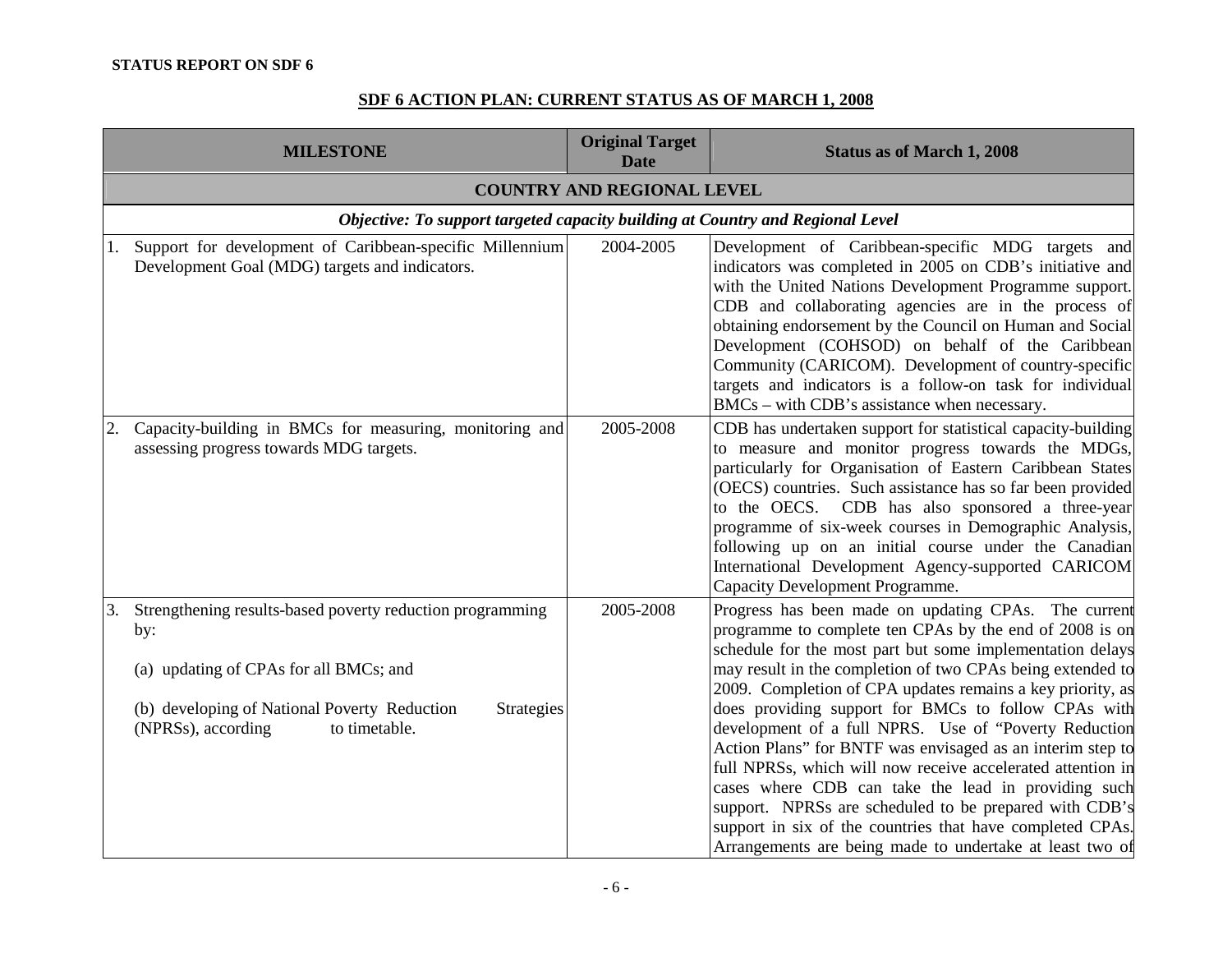# **SDF 6 ACTION PLAN: CURRENT STATUS AS OF MARCH 1, 2008**

|    | <b>MILESTONE</b>                                                                                                                                                                                                | <b>Original Target</b><br><b>Date</b> | <b>Status as of March 1, 2008</b>                                                                                                                                                                                                                                                                                                                                                                                                                                                                                                                                                                                                                                                                                                                                                               |  |  |  |  |  |  |
|----|-----------------------------------------------------------------------------------------------------------------------------------------------------------------------------------------------------------------|---------------------------------------|-------------------------------------------------------------------------------------------------------------------------------------------------------------------------------------------------------------------------------------------------------------------------------------------------------------------------------------------------------------------------------------------------------------------------------------------------------------------------------------------------------------------------------------------------------------------------------------------------------------------------------------------------------------------------------------------------------------------------------------------------------------------------------------------------|--|--|--|--|--|--|
|    |                                                                                                                                                                                                                 | <b>COUNTRY AND REGIONAL LEVEL</b>     |                                                                                                                                                                                                                                                                                                                                                                                                                                                                                                                                                                                                                                                                                                                                                                                                 |  |  |  |  |  |  |
|    | Objective: To support targeted capacity building at Country and Regional Level                                                                                                                                  |                                       |                                                                                                                                                                                                                                                                                                                                                                                                                                                                                                                                                                                                                                                                                                                                                                                                 |  |  |  |  |  |  |
| 1. | Support for development of Caribbean-specific Millennium<br>Development Goal (MDG) targets and indicators.                                                                                                      | 2004-2005                             | Development of Caribbean-specific MDG targets and<br>indicators was completed in 2005 on CDB's initiative and<br>with the United Nations Development Programme support.<br>CDB and collaborating agencies are in the process of<br>obtaining endorsement by the Council on Human and Social<br>Development (COHSOD) on behalf of the Caribbean<br>Community (CARICOM). Development of country-specific<br>targets and indicators is a follow-on task for individual<br>$BMCs$ – with CDB's assistance when necessary.                                                                                                                                                                                                                                                                           |  |  |  |  |  |  |
|    | Capacity-building in BMCs for measuring, monitoring and<br>assessing progress towards MDG targets.                                                                                                              | 2005-2008                             | CDB has undertaken support for statistical capacity-building<br>to measure and monitor progress towards the MDGs,<br>particularly for Organisation of Eastern Caribbean States<br>(OECS) countries. Such assistance has so far been provided<br>to the OECS. CDB has also sponsored a three-year<br>programme of six-week courses in Demographic Analysis,<br>following up on an initial course under the Canadian<br>International Development Agency-supported CARICOM<br>Capacity Development Programme.                                                                                                                                                                                                                                                                                     |  |  |  |  |  |  |
| 3. | Strengthening results-based poverty reduction programming<br>by:<br>(a) updating of CPAs for all BMCs; and<br>(b) developing of National Poverty Reduction<br>Strategies<br>(NPRSs), according<br>to timetable. | 2005-2008                             | Progress has been made on updating CPAs. The current<br>programme to complete ten CPAs by the end of 2008 is on<br>schedule for the most part but some implementation delays<br>may result in the completion of two CPAs being extended to<br>2009. Completion of CPA updates remains a key priority, as<br>does providing support for BMCs to follow CPAs with<br>development of a full NPRS. Use of "Poverty Reduction<br>Action Plans" for BNTF was envisaged as an interim step to<br>full NPRSs, which will now receive accelerated attention in<br>cases where CDB can take the lead in providing such<br>support. NPRSs are scheduled to be prepared with CDB's<br>support in six of the countries that have completed CPAs.<br>Arrangements are being made to undertake at least two of |  |  |  |  |  |  |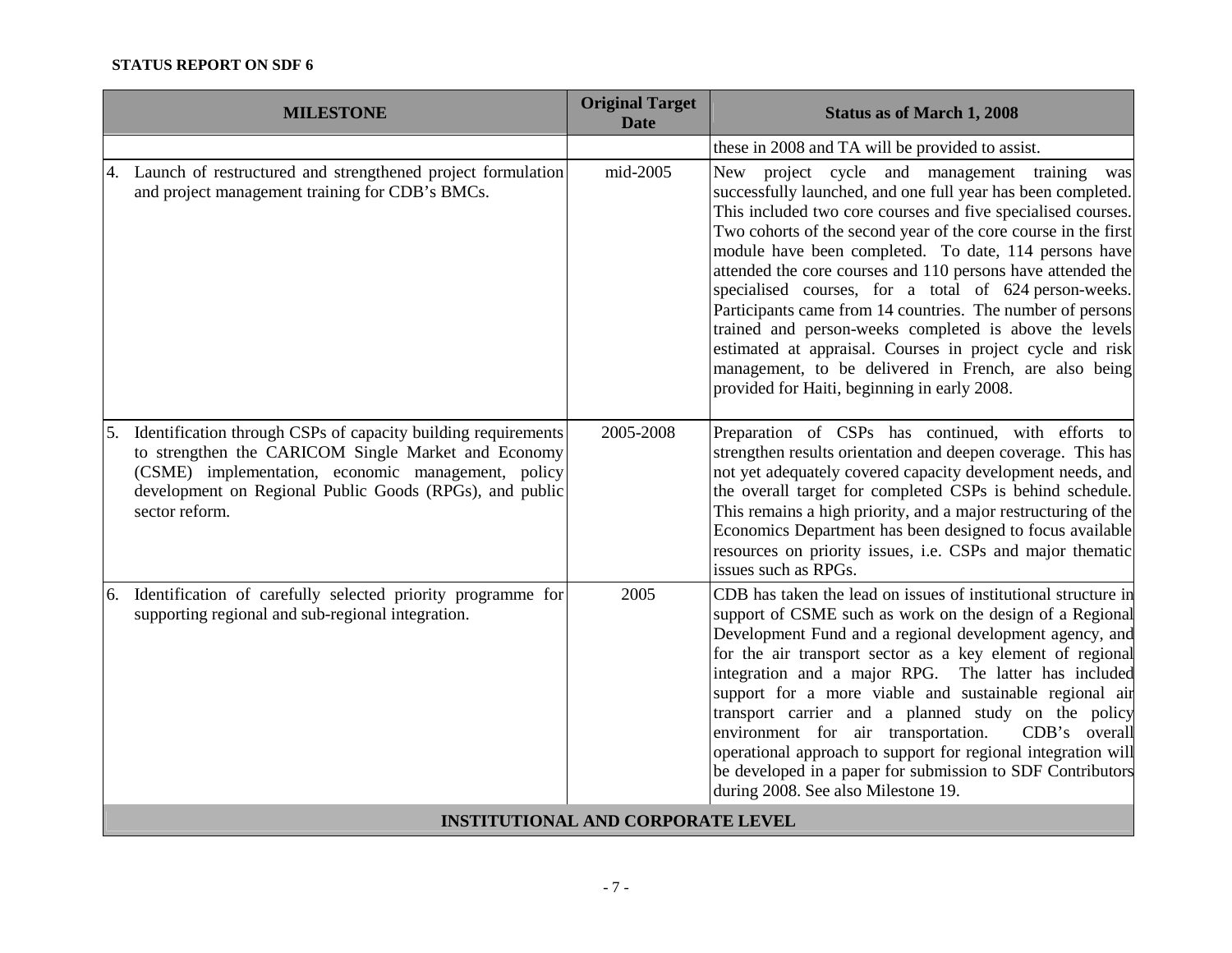|    | <b>MILESTONE</b>                                                                                                                                                                                                                                        | <b>Original Target</b><br><b>Date</b>    | <b>Status as of March 1, 2008</b>                                                                                                                                                                                                                                                                                                                                                                                                                                                                                                                                                                                                                                                                                                 |
|----|---------------------------------------------------------------------------------------------------------------------------------------------------------------------------------------------------------------------------------------------------------|------------------------------------------|-----------------------------------------------------------------------------------------------------------------------------------------------------------------------------------------------------------------------------------------------------------------------------------------------------------------------------------------------------------------------------------------------------------------------------------------------------------------------------------------------------------------------------------------------------------------------------------------------------------------------------------------------------------------------------------------------------------------------------------|
|    |                                                                                                                                                                                                                                                         |                                          | these in 2008 and TA will be provided to assist.                                                                                                                                                                                                                                                                                                                                                                                                                                                                                                                                                                                                                                                                                  |
|    | 4. Launch of restructured and strengthened project formulation<br>and project management training for CDB's BMCs.                                                                                                                                       | mid-2005                                 | New project cycle and management training<br>was<br>successfully launched, and one full year has been completed.<br>This included two core courses and five specialised courses.<br>Two cohorts of the second year of the core course in the first<br>module have been completed. To date, 114 persons have<br>attended the core courses and 110 persons have attended the<br>specialised courses, for a total of 624 person-weeks.<br>Participants came from 14 countries. The number of persons<br>trained and person-weeks completed is above the levels<br>estimated at appraisal. Courses in project cycle and risk<br>management, to be delivered in French, are also being<br>provided for Haiti, beginning in early 2008. |
| 5. | Identification through CSPs of capacity building requirements<br>to strengthen the CARICOM Single Market and Economy<br>(CSME) implementation, economic management, policy<br>development on Regional Public Goods (RPGs), and public<br>sector reform. | 2005-2008                                | Preparation of CSPs has continued, with efforts to<br>strengthen results orientation and deepen coverage. This has<br>not yet adequately covered capacity development needs, and<br>the overall target for completed CSPs is behind schedule.<br>This remains a high priority, and a major restructuring of the<br>Economics Department has been designed to focus available<br>resources on priority issues, i.e. CSPs and major thematic<br>issues such as RPGs.                                                                                                                                                                                                                                                                |
|    | 6. Identification of carefully selected priority programme for<br>supporting regional and sub-regional integration.                                                                                                                                     | 2005                                     | CDB has taken the lead on issues of institutional structure in<br>support of CSME such as work on the design of a Regional<br>Development Fund and a regional development agency, and<br>for the air transport sector as a key element of regional<br>integration and a major RPG. The latter has included<br>support for a more viable and sustainable regional air<br>transport carrier and a planned study on the policy<br>environment for air transportation.<br>CDB's overall<br>operational approach to support for regional integration will<br>be developed in a paper for submission to SDF Contributors<br>during 2008. See also Milestone 19.                                                                         |
|    |                                                                                                                                                                                                                                                         | <b>INSTITUTIONAL AND CORPORATE LEVEL</b> |                                                                                                                                                                                                                                                                                                                                                                                                                                                                                                                                                                                                                                                                                                                                   |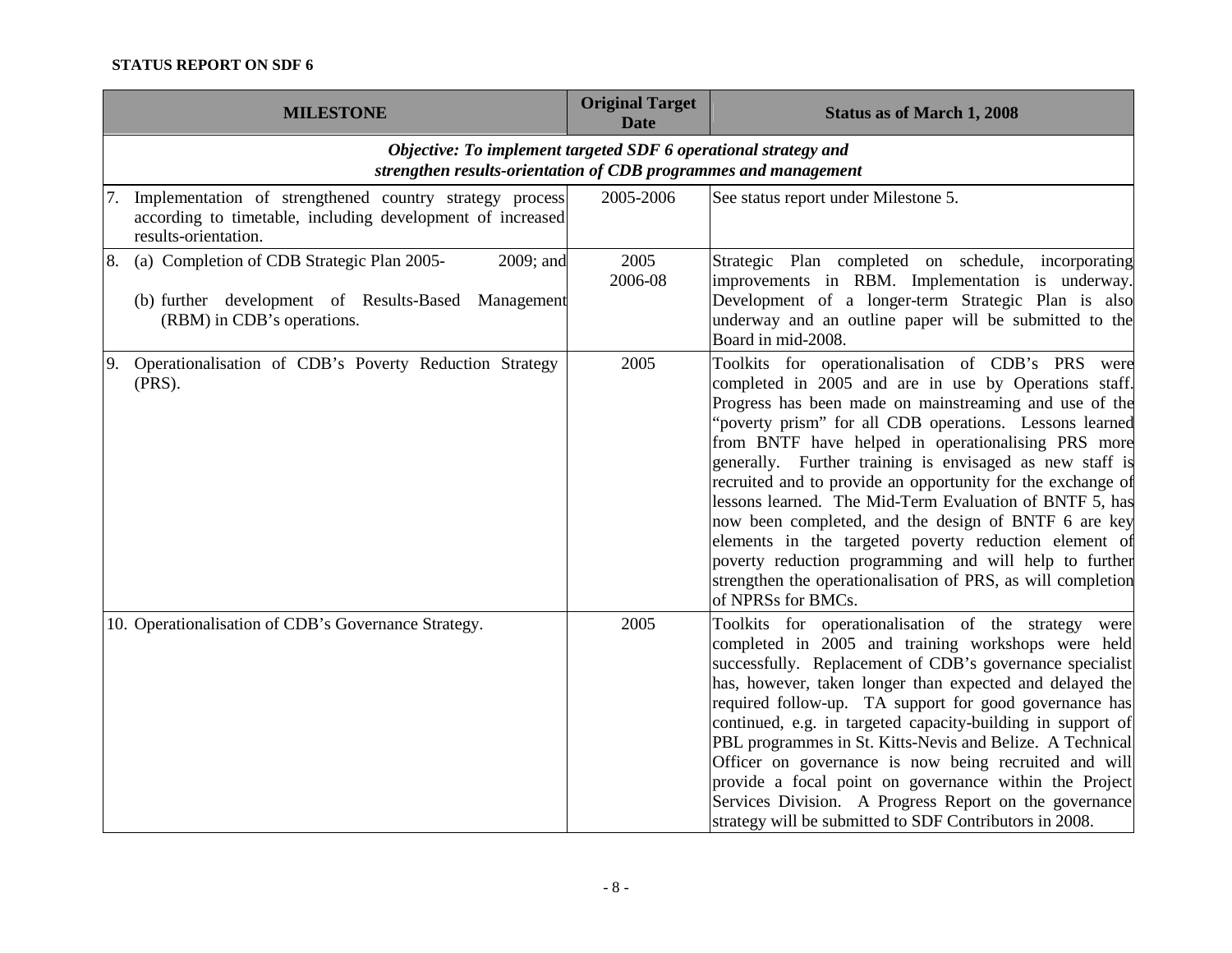| <b>MILESTONE</b>                                                                                                                                   | <b>Original Target</b><br><b>Date</b> | <b>Status as of March 1, 2008</b>                                                                                                                                                                                                                                                                                                                                                                                                                                                                                                                                                                                                                                                                                                            |
|----------------------------------------------------------------------------------------------------------------------------------------------------|---------------------------------------|----------------------------------------------------------------------------------------------------------------------------------------------------------------------------------------------------------------------------------------------------------------------------------------------------------------------------------------------------------------------------------------------------------------------------------------------------------------------------------------------------------------------------------------------------------------------------------------------------------------------------------------------------------------------------------------------------------------------------------------------|
| Objective: To implement targeted SDF 6 operational strategy and<br>strengthen results-orientation of CDB programmes and management                 |                                       |                                                                                                                                                                                                                                                                                                                                                                                                                                                                                                                                                                                                                                                                                                                                              |
| 7. Implementation of strengthened country strategy process<br>according to timetable, including development of increased<br>results-orientation.   | 2005-2006                             | See status report under Milestone 5.                                                                                                                                                                                                                                                                                                                                                                                                                                                                                                                                                                                                                                                                                                         |
| (a) Completion of CDB Strategic Plan 2005-<br>2009; and<br>8.<br>(b) further development of Results-Based Management<br>(RBM) in CDB's operations. | 2005<br>2006-08                       | Strategic Plan completed on schedule, incorporating<br>improvements in RBM. Implementation is underway.<br>Development of a longer-term Strategic Plan is also<br>underway and an outline paper will be submitted to the<br>Board in mid-2008.                                                                                                                                                                                                                                                                                                                                                                                                                                                                                               |
| Operationalisation of CDB's Poverty Reduction Strategy<br>9.<br>$(PRS)$ .                                                                          | 2005                                  | Toolkits for operationalisation of CDB's PRS were<br>completed in 2005 and are in use by Operations staff.<br>Progress has been made on mainstreaming and use of the<br>"poverty prism" for all CDB operations. Lessons learned<br>from BNTF have helped in operationalising PRS more<br>generally. Further training is envisaged as new staff is<br>recruited and to provide an opportunity for the exchange of<br>lessons learned. The Mid-Term Evaluation of BNTF 5, has<br>now been completed, and the design of BNTF 6 are key<br>elements in the targeted poverty reduction element of<br>poverty reduction programming and will help to further<br>strengthen the operationalisation of PRS, as will completion<br>of NPRSs for BMCs. |
| 10. Operationalisation of CDB's Governance Strategy.                                                                                               | 2005                                  | Toolkits for operationalisation of the strategy were<br>completed in 2005 and training workshops were held<br>successfully. Replacement of CDB's governance specialist<br>has, however, taken longer than expected and delayed the<br>required follow-up. TA support for good governance has<br>continued, e.g. in targeted capacity-building in support of<br>PBL programmes in St. Kitts-Nevis and Belize. A Technical<br>Officer on governance is now being recruited and will<br>provide a focal point on governance within the Project<br>Services Division. A Progress Report on the governance<br>strategy will be submitted to SDF Contributors in 2008.                                                                             |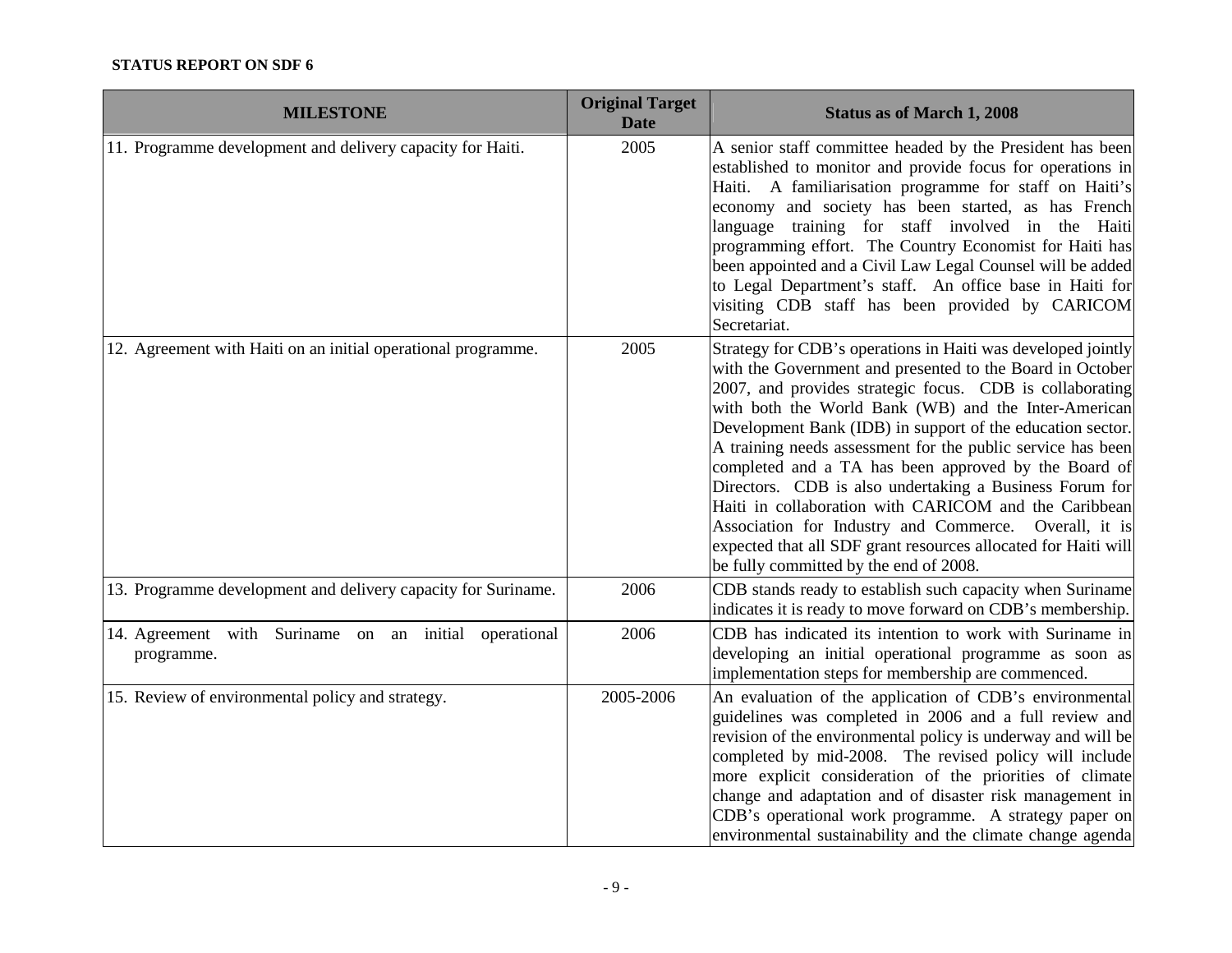| <b>MILESTONE</b>                                                    | <b>Original Target</b><br><b>Date</b> | <b>Status as of March 1, 2008</b>                                                                                                                                                                                                                                                                                                                                                                                                                                                                                                                                                                                                                                                                                           |
|---------------------------------------------------------------------|---------------------------------------|-----------------------------------------------------------------------------------------------------------------------------------------------------------------------------------------------------------------------------------------------------------------------------------------------------------------------------------------------------------------------------------------------------------------------------------------------------------------------------------------------------------------------------------------------------------------------------------------------------------------------------------------------------------------------------------------------------------------------------|
| 11. Programme development and delivery capacity for Haiti.          | 2005                                  | A senior staff committee headed by the President has been<br>established to monitor and provide focus for operations in<br>Haiti. A familiarisation programme for staff on Haiti's<br>economy and society has been started, as has French<br>language training for staff involved in the Haiti<br>programming effort. The Country Economist for Haiti has<br>been appointed and a Civil Law Legal Counsel will be added<br>to Legal Department's staff. An office base in Haiti for<br>visiting CDB staff has been provided by CARICOM<br>Secretariat.                                                                                                                                                                      |
| 12. Agreement with Haiti on an initial operational programme.       | 2005                                  | Strategy for CDB's operations in Haiti was developed jointly<br>with the Government and presented to the Board in October<br>2007, and provides strategic focus. CDB is collaborating<br>with both the World Bank (WB) and the Inter-American<br>Development Bank (IDB) in support of the education sector.<br>A training needs assessment for the public service has been<br>completed and a TA has been approved by the Board of<br>Directors. CDB is also undertaking a Business Forum for<br>Haiti in collaboration with CARICOM and the Caribbean<br>Association for Industry and Commerce. Overall, it is<br>expected that all SDF grant resources allocated for Haiti will<br>be fully committed by the end of 2008. |
| 13. Programme development and delivery capacity for Suriname.       | 2006                                  | CDB stands ready to establish such capacity when Suriname<br>indicates it is ready to move forward on CDB's membership.                                                                                                                                                                                                                                                                                                                                                                                                                                                                                                                                                                                                     |
| 14. Agreement with Suriname on an initial operational<br>programme. | 2006                                  | CDB has indicated its intention to work with Suriname in<br>developing an initial operational programme as soon as<br>implementation steps for membership are commenced.                                                                                                                                                                                                                                                                                                                                                                                                                                                                                                                                                    |
| 15. Review of environmental policy and strategy.                    | 2005-2006                             | An evaluation of the application of CDB's environmental<br>guidelines was completed in 2006 and a full review and<br>revision of the environmental policy is underway and will be<br>completed by mid-2008. The revised policy will include<br>more explicit consideration of the priorities of climate<br>change and adaptation and of disaster risk management in<br>CDB's operational work programme. A strategy paper on<br>environmental sustainability and the climate change agenda                                                                                                                                                                                                                                  |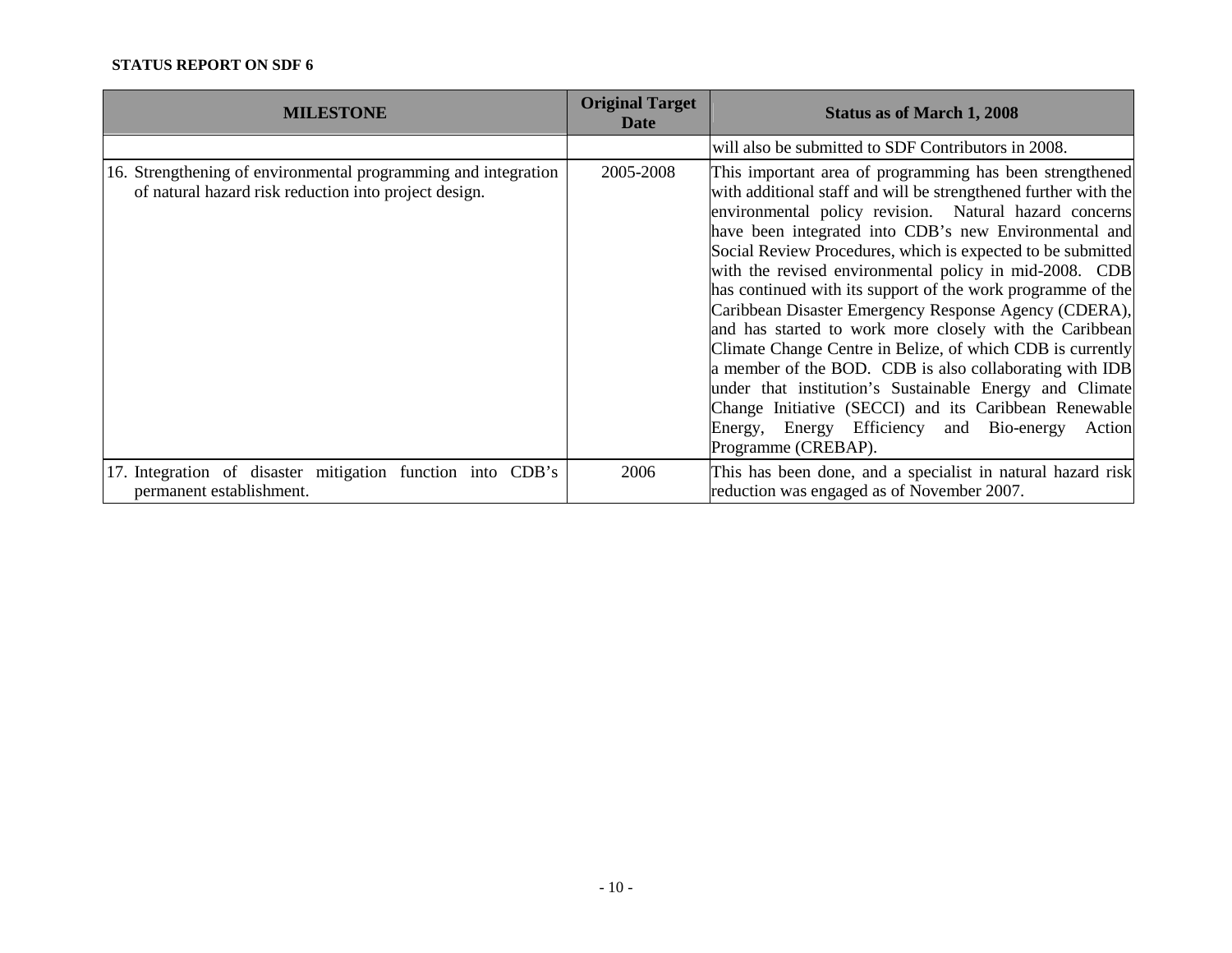| <b>MILESTONE</b>                                                                                                        | <b>Original Target</b><br><b>Date</b> | <b>Status as of March 1, 2008</b>                                                                                                                                                                                                                                                                                                                                                                                                                                                                                                                                                                                                                                                                                                                                                                                                                                                    |
|-------------------------------------------------------------------------------------------------------------------------|---------------------------------------|--------------------------------------------------------------------------------------------------------------------------------------------------------------------------------------------------------------------------------------------------------------------------------------------------------------------------------------------------------------------------------------------------------------------------------------------------------------------------------------------------------------------------------------------------------------------------------------------------------------------------------------------------------------------------------------------------------------------------------------------------------------------------------------------------------------------------------------------------------------------------------------|
|                                                                                                                         |                                       | will also be submitted to SDF Contributors in 2008.                                                                                                                                                                                                                                                                                                                                                                                                                                                                                                                                                                                                                                                                                                                                                                                                                                  |
| 16. Strengthening of environmental programming and integration<br>of natural hazard risk reduction into project design. | 2005-2008                             | This important area of programming has been strengthened<br>with additional staff and will be strengthened further with the<br>environmental policy revision. Natural hazard concerns<br>have been integrated into CDB's new Environmental and<br>Social Review Procedures, which is expected to be submitted<br>with the revised environmental policy in mid-2008. CDB<br>has continued with its support of the work programme of the<br>Caribbean Disaster Emergency Response Agency (CDERA),<br>and has started to work more closely with the Caribbean<br>Climate Change Centre in Belize, of which CDB is currently<br>a member of the BOD. CDB is also collaborating with IDB<br>under that institution's Sustainable Energy and Climate<br>Change Initiative (SECCI) and its Caribbean Renewable<br>Energy, Energy Efficiency and Bio-energy<br>Action<br>Programme (CREBAP). |
| 17. Integration of disaster mitigation function into CDB's<br>permanent establishment.                                  | 2006                                  | This has been done, and a specialist in natural hazard risk<br>reduction was engaged as of November 2007.                                                                                                                                                                                                                                                                                                                                                                                                                                                                                                                                                                                                                                                                                                                                                                            |
|                                                                                                                         |                                       |                                                                                                                                                                                                                                                                                                                                                                                                                                                                                                                                                                                                                                                                                                                                                                                                                                                                                      |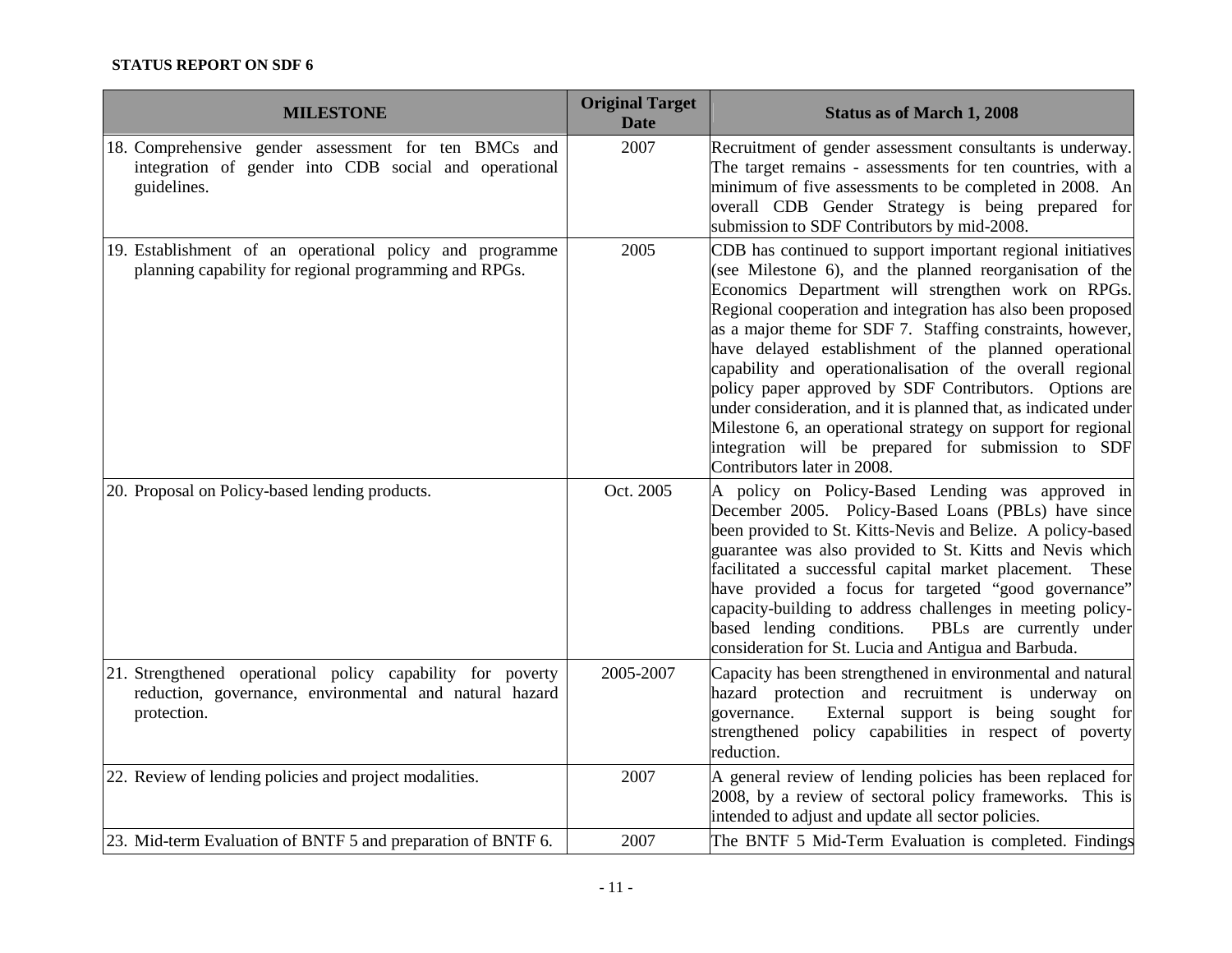| <b>MILESTONE</b>                                                                                                                     | <b>Original Target</b><br><b>Date</b> | <b>Status as of March 1, 2008</b>                                                                                                                                                                                                                                                                                                                                                                                                                                                                                                                                                                                                                                                                                  |
|--------------------------------------------------------------------------------------------------------------------------------------|---------------------------------------|--------------------------------------------------------------------------------------------------------------------------------------------------------------------------------------------------------------------------------------------------------------------------------------------------------------------------------------------------------------------------------------------------------------------------------------------------------------------------------------------------------------------------------------------------------------------------------------------------------------------------------------------------------------------------------------------------------------------|
| 18. Comprehensive gender assessment for ten BMCs and<br>integration of gender into CDB social and operational<br>guidelines.         | 2007                                  | Recruitment of gender assessment consultants is underway.<br>The target remains - assessments for ten countries, with a<br>minimum of five assessments to be completed in 2008. An<br>overall CDB Gender Strategy is being prepared for<br>submission to SDF Contributors by mid-2008.                                                                                                                                                                                                                                                                                                                                                                                                                             |
| 19. Establishment of an operational policy and programme<br>planning capability for regional programming and RPGs.                   | 2005                                  | CDB has continued to support important regional initiatives<br>(see Milestone 6), and the planned reorganisation of the<br>Economics Department will strengthen work on RPGs.<br>Regional cooperation and integration has also been proposed<br>as a major theme for SDF 7. Staffing constraints, however,<br>have delayed establishment of the planned operational<br>capability and operationalisation of the overall regional<br>policy paper approved by SDF Contributors. Options are<br>under consideration, and it is planned that, as indicated under<br>Milestone 6, an operational strategy on support for regional<br>integration will be prepared for submission to SDF<br>Contributors later in 2008. |
| 20. Proposal on Policy-based lending products.                                                                                       | Oct. 2005                             | A policy on Policy-Based Lending was approved in<br>December 2005. Policy-Based Loans (PBLs) have since<br>been provided to St. Kitts-Nevis and Belize. A policy-based<br>guarantee was also provided to St. Kitts and Nevis which<br>facilitated a successful capital market placement.<br>These<br>have provided a focus for targeted "good governance"<br>capacity-building to address challenges in meeting policy-<br>based lending conditions.<br>PBLs are currently under<br>consideration for St. Lucia and Antigua and Barbuda.                                                                                                                                                                           |
| 21. Strengthened operational policy capability for poverty<br>reduction, governance, environmental and natural hazard<br>protection. | 2005-2007                             | Capacity has been strengthened in environmental and natural<br>hazard protection and recruitment is underway on<br>External support is being sought for<br>governance.<br>strengthened policy capabilities in respect of poverty<br>reduction.                                                                                                                                                                                                                                                                                                                                                                                                                                                                     |
| 22. Review of lending policies and project modalities.                                                                               | 2007                                  | A general review of lending policies has been replaced for<br>2008, by a review of sectoral policy frameworks. This is<br>intended to adjust and update all sector policies.                                                                                                                                                                                                                                                                                                                                                                                                                                                                                                                                       |
| 23. Mid-term Evaluation of BNTF 5 and preparation of BNTF 6.                                                                         | 2007                                  | The BNTF 5 Mid-Term Evaluation is completed. Findings                                                                                                                                                                                                                                                                                                                                                                                                                                                                                                                                                                                                                                                              |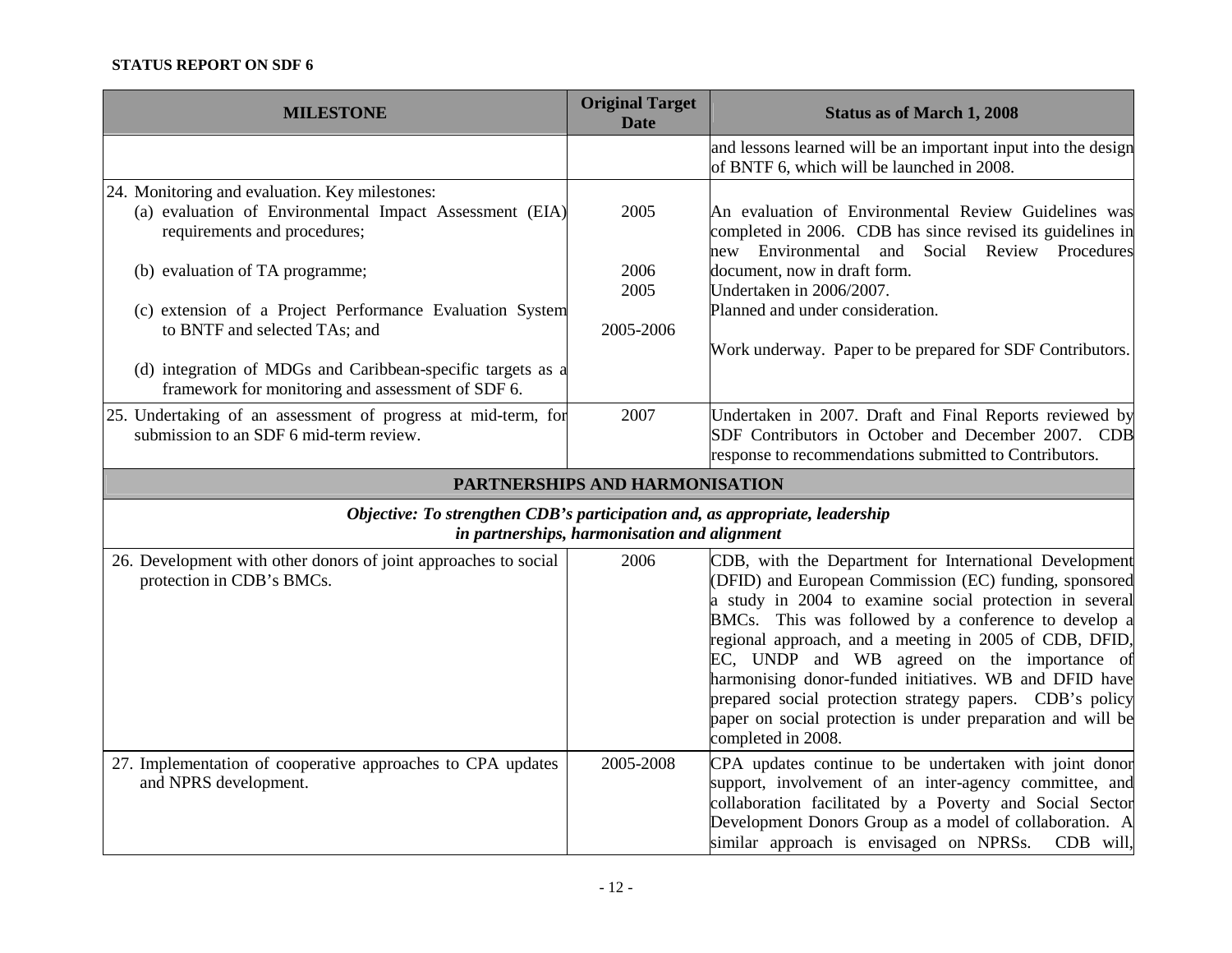| <b>MILESTONE</b>                                                                                                                                              | <b>Original Target</b><br><b>Date</b> | <b>Status as of March 1, 2008</b>                                                                                                                                                                                                                                                                                                                                                                                                                                                                                                                       |  |  |
|---------------------------------------------------------------------------------------------------------------------------------------------------------------|---------------------------------------|---------------------------------------------------------------------------------------------------------------------------------------------------------------------------------------------------------------------------------------------------------------------------------------------------------------------------------------------------------------------------------------------------------------------------------------------------------------------------------------------------------------------------------------------------------|--|--|
|                                                                                                                                                               |                                       | and lessons learned will be an important input into the design<br>of BNTF 6, which will be launched in 2008.                                                                                                                                                                                                                                                                                                                                                                                                                                            |  |  |
| 24. Monitoring and evaluation. Key milestones:<br>(a) evaluation of Environmental Impact Assessment (EIA)<br>requirements and procedures;                     | 2005                                  | An evaluation of Environmental Review Guidelines was<br>completed in 2006. CDB has since revised its guidelines in<br>new Environmental and Social Review Procedures                                                                                                                                                                                                                                                                                                                                                                                    |  |  |
| (b) evaluation of TA programme;                                                                                                                               | 2006<br>2005                          | document, now in draft form.<br>Undertaken in 2006/2007.                                                                                                                                                                                                                                                                                                                                                                                                                                                                                                |  |  |
| (c) extension of a Project Performance Evaluation System<br>to BNTF and selected TAs; and<br>(d) integration of MDGs and Caribbean-specific targets as a      | 2005-2006                             | Planned and under consideration.<br>Work underway. Paper to be prepared for SDF Contributors.                                                                                                                                                                                                                                                                                                                                                                                                                                                           |  |  |
| framework for monitoring and assessment of SDF 6.<br>25. Undertaking of an assessment of progress at mid-term, for<br>submission to an SDF 6 mid-term review. | 2007                                  | Undertaken in 2007. Draft and Final Reports reviewed by<br>SDF Contributors in October and December 2007. CDB<br>response to recommendations submitted to Contributors.                                                                                                                                                                                                                                                                                                                                                                                 |  |  |
|                                                                                                                                                               | PARTNERSHIPS AND HARMONISATION        |                                                                                                                                                                                                                                                                                                                                                                                                                                                                                                                                                         |  |  |
| Objective: To strengthen CDB's participation and, as appropriate, leadership<br>in partnerships, harmonisation and alignment                                  |                                       |                                                                                                                                                                                                                                                                                                                                                                                                                                                                                                                                                         |  |  |
| 26. Development with other donors of joint approaches to social<br>protection in CDB's BMCs.                                                                  | 2006                                  | CDB, with the Department for International Development<br>(DFID) and European Commission (EC) funding, sponsored<br>a study in 2004 to examine social protection in several<br>BMCs. This was followed by a conference to develop a<br>regional approach, and a meeting in 2005 of CDB, DFID,<br>EC, UNDP and WB agreed on the importance of<br>harmonising donor-funded initiatives. WB and DFID have<br>prepared social protection strategy papers. CDB's policy<br>paper on social protection is under preparation and will be<br>completed in 2008. |  |  |
| 27. Implementation of cooperative approaches to CPA updates<br>and NPRS development.                                                                          | 2005-2008                             | CPA updates continue to be undertaken with joint donor<br>support, involvement of an inter-agency committee, and<br>collaboration facilitated by a Poverty and Social Sector<br>Development Donors Group as a model of collaboration. A<br>similar approach is envisaged on NPRSs.<br>$CDB$ will,                                                                                                                                                                                                                                                       |  |  |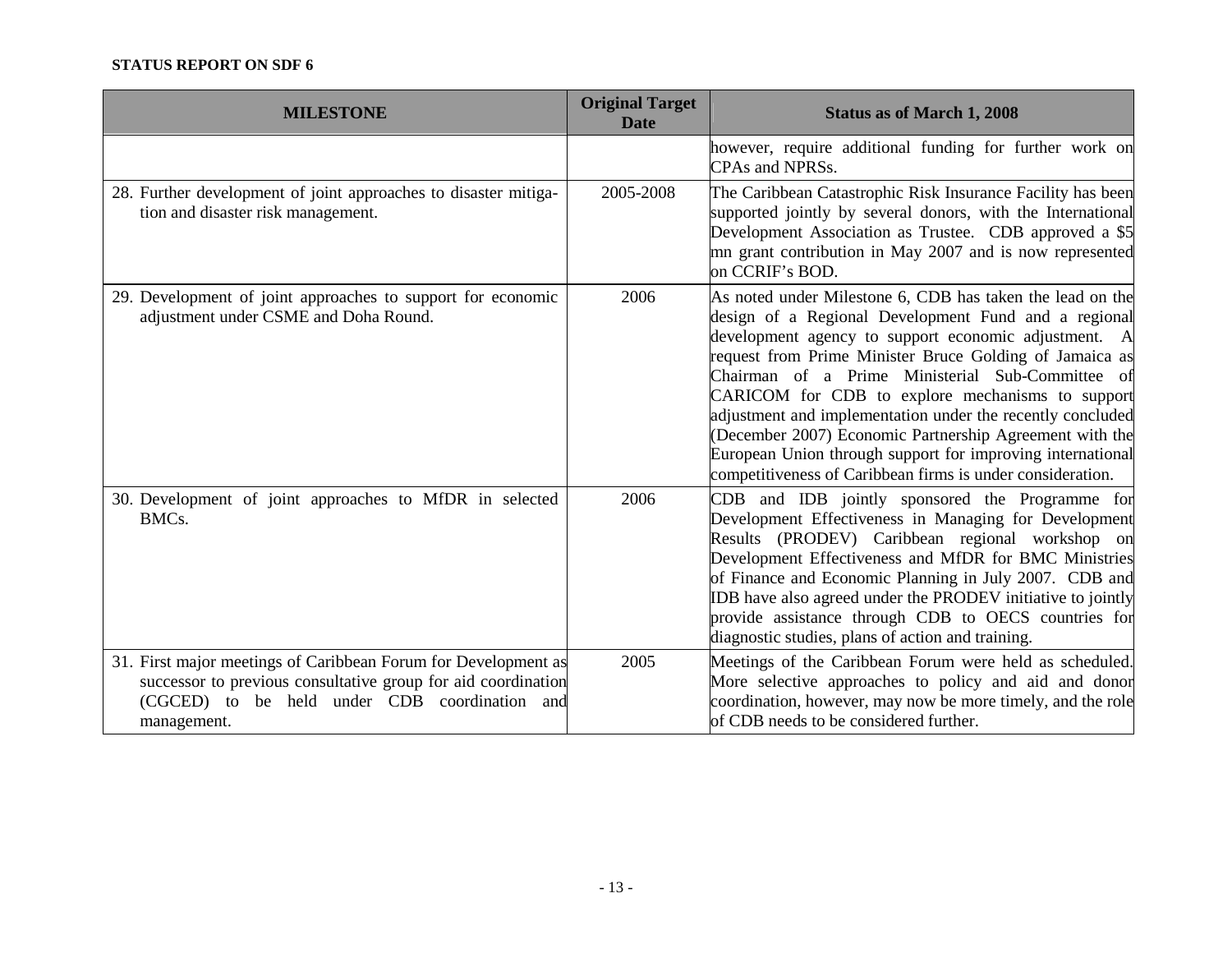| <b>MILESTONE</b>                                                                                                                                                                                | <b>Original Target</b><br><b>Date</b> | <b>Status as of March 1, 2008</b>                                                                                                                                                                                                                                                                                                                                                                                                                                                                                                                                                                 |
|-------------------------------------------------------------------------------------------------------------------------------------------------------------------------------------------------|---------------------------------------|---------------------------------------------------------------------------------------------------------------------------------------------------------------------------------------------------------------------------------------------------------------------------------------------------------------------------------------------------------------------------------------------------------------------------------------------------------------------------------------------------------------------------------------------------------------------------------------------------|
|                                                                                                                                                                                                 |                                       | however, require additional funding for further work on<br>CPAs and NPRSs.                                                                                                                                                                                                                                                                                                                                                                                                                                                                                                                        |
| 28. Further development of joint approaches to disaster mitiga-<br>tion and disaster risk management.                                                                                           | 2005-2008                             | The Caribbean Catastrophic Risk Insurance Facility has been<br>supported jointly by several donors, with the International<br>Development Association as Trustee. CDB approved a \$5<br>mn grant contribution in May 2007 and is now represented<br>on CCRIF's BOD.                                                                                                                                                                                                                                                                                                                               |
| 29. Development of joint approaches to support for economic<br>adjustment under CSME and Doha Round.                                                                                            | 2006                                  | As noted under Milestone 6, CDB has taken the lead on the<br>design of a Regional Development Fund and a regional<br>development agency to support economic adjustment. A<br>request from Prime Minister Bruce Golding of Jamaica as<br>Chairman of a Prime Ministerial Sub-Committee of<br>CARICOM for CDB to explore mechanisms to support<br>adjustment and implementation under the recently concluded<br>(December 2007) Economic Partnership Agreement with the<br>European Union through support for improving international<br>competitiveness of Caribbean firms is under consideration. |
| 30. Development of joint approaches to MfDR in selected<br>BMCs.                                                                                                                                | 2006                                  | CDB and IDB jointly sponsored the Programme for<br>Development Effectiveness in Managing for Development<br>Results (PRODEV) Caribbean regional workshop on<br>Development Effectiveness and MfDR for BMC Ministries<br>of Finance and Economic Planning in July 2007. CDB and<br>IDB have also agreed under the PRODEV initiative to jointly<br>provide assistance through CDB to OECS countries for<br>diagnostic studies, plans of action and training.                                                                                                                                        |
| 31. First major meetings of Caribbean Forum for Development as<br>successor to previous consultative group for aid coordination<br>(CGCED) to be held under CDB coordination and<br>management. | 2005                                  | Meetings of the Caribbean Forum were held as scheduled.<br>More selective approaches to policy and aid and donor<br>coordination, however, may now be more timely, and the role<br>of CDB needs to be considered further.                                                                                                                                                                                                                                                                                                                                                                         |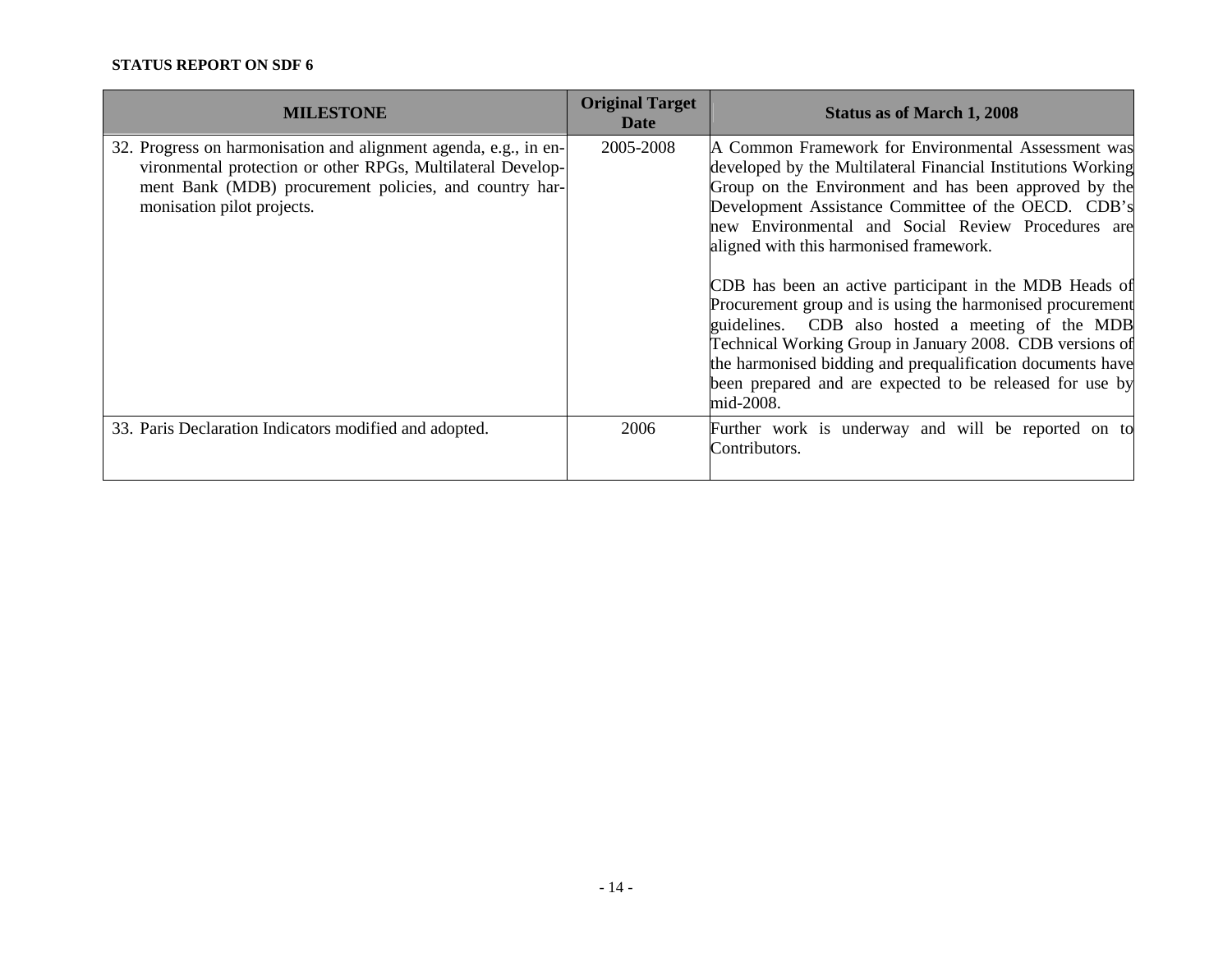| <b>MILESTONE</b>                                                                                                                                                                                                        | <b>Original Target</b><br>Date | <b>Status as of March 1, 2008</b>                                                                                                                                                                                                                                                                                                                                                                                                                                                                                                                                                                                                                                                                                  |
|-------------------------------------------------------------------------------------------------------------------------------------------------------------------------------------------------------------------------|--------------------------------|--------------------------------------------------------------------------------------------------------------------------------------------------------------------------------------------------------------------------------------------------------------------------------------------------------------------------------------------------------------------------------------------------------------------------------------------------------------------------------------------------------------------------------------------------------------------------------------------------------------------------------------------------------------------------------------------------------------------|
| 32. Progress on harmonisation and alignment agenda, e.g., in en-<br>vironmental protection or other RPGs, Multilateral Develop-<br>ment Bank (MDB) procurement policies, and country har-<br>monisation pilot projects. | 2005-2008                      | A Common Framework for Environmental Assessment was<br>developed by the Multilateral Financial Institutions Working<br>Group on the Environment and has been approved by the<br>Development Assistance Committee of the OECD. CDB's<br>new Environmental and Social Review Procedures are<br>aligned with this harmonised framework.<br>CDB has been an active participant in the MDB Heads of<br>Procurement group and is using the harmonised procurement<br>guidelines. CDB also hosted a meeting of the MDB<br>Technical Working Group in January 2008. CDB versions of<br>the harmonised bidding and prequalification documents have<br>been prepared and are expected to be released for use by<br>mid-2008. |
| 33. Paris Declaration Indicators modified and adopted.                                                                                                                                                                  | 2006                           | Further work is underway and will be reported on to<br>Contributors.                                                                                                                                                                                                                                                                                                                                                                                                                                                                                                                                                                                                                                               |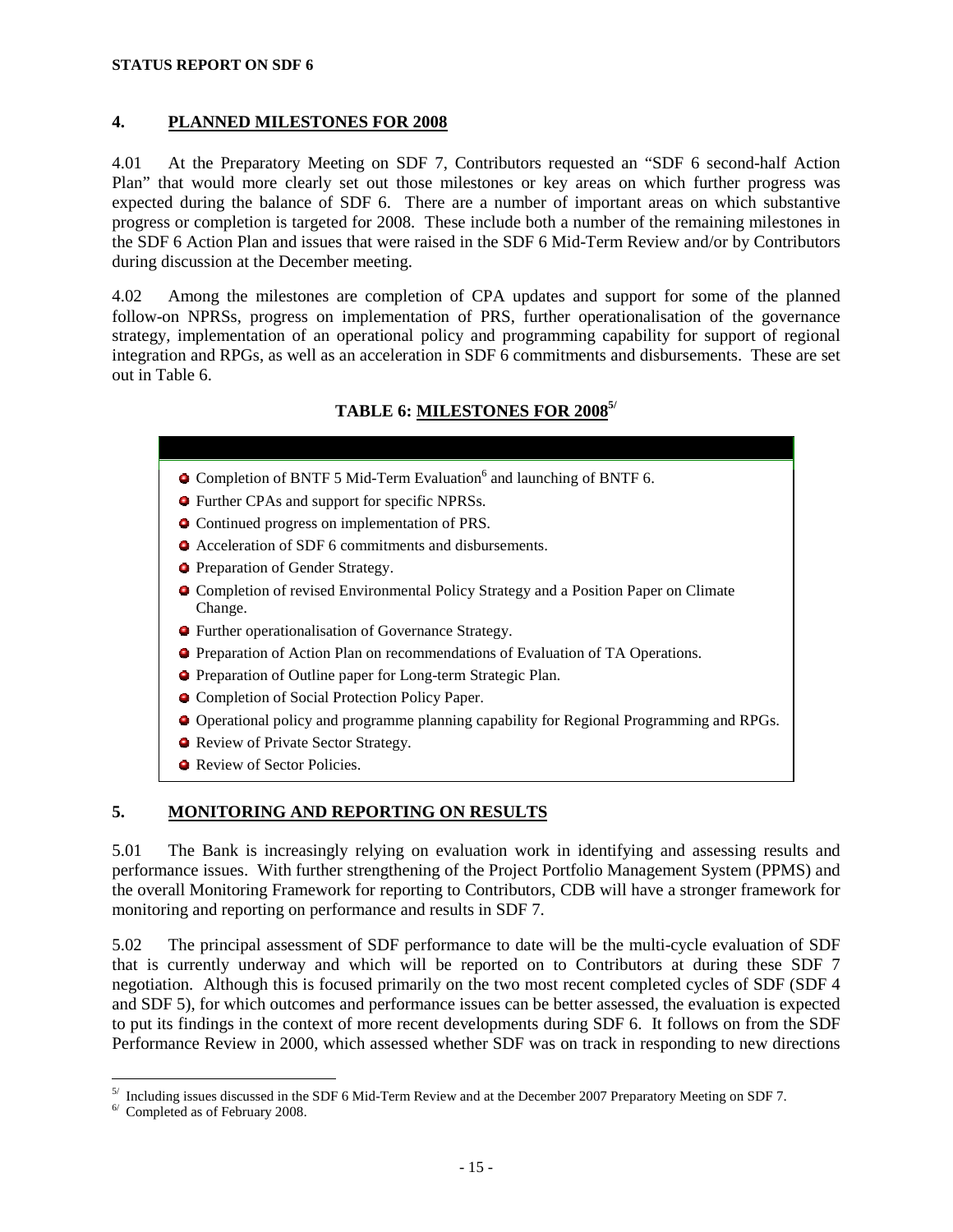### **4. PLANNED MILESTONES FOR 2008**

4.01 At the Preparatory Meeting on SDF 7, Contributors requested an "SDF 6 second-half Action Plan" that would more clearly set out those milestones or key areas on which further progress was expected during the balance of SDF 6. There are a number of important areas on which substantive progress or completion is targeted for 2008. These include both a number of the remaining milestones in the SDF 6 Action Plan and issues that were raised in the SDF 6 Mid-Term Review and/or by Contributors during discussion at the December meeting.

4.02 Among the milestones are completion of CPA updates and support for some of the planned follow-on NPRSs, progress on implementation of PRS, further operationalisation of the governance strategy, implementation of an operational policy and programming capability for support of regional integration and RPGs, as well as an acceleration in SDF 6 commitments and disbursements. These are set out in Table 6.

# **TABLE 6: MILESTONES FOR 20085/**

- Completion of BNTF 5 Mid-Term Evaluation<sup>6</sup> and launching of BNTF 6.
- Further CPAs and support for specific NPRSs.
- Continued progress on implementation of PRS.
- Acceleration of SDF 6 commitments and disbursements.
- **•** Preparation of Gender Strategy.
- Completion of revised Environmental Policy Strategy and a Position Paper on Climate Change.
- Further operationalisation of Governance Strategy.
- Preparation of Action Plan on recommendations of Evaluation of TA Operations.
- Preparation of Outline paper for Long-term Strategic Plan.
- Completion of Social Protection Policy Paper.
- Operational policy and programme planning capability for Regional Programming and RPGs.
- Review of Private Sector Strategy.
- **Review of Sector Policies.**

## **5. MONITORING AND REPORTING ON RESULTS**

5.01 The Bank is increasingly relying on evaluation work in identifying and assessing results and performance issues. With further strengthening of the Project Portfolio Management System (PPMS) and the overall Monitoring Framework for reporting to Contributors, CDB will have a stronger framework for monitoring and reporting on performance and results in SDF 7.

5.02 The principal assessment of SDF performance to date will be the multi-cycle evaluation of SDF that is currently underway and which will be reported on to Contributors at during these SDF 7 negotiation. Although this is focused primarily on the two most recent completed cycles of SDF (SDF 4 and SDF 5), for which outcomes and performance issues can be better assessed, the evaluation is expected to put its findings in the context of more recent developments during SDF 6. It follows on from the SDF Performance Review in 2000, which assessed whether SDF was on track in responding to new directions

-

 $5/$  Including issues discussed in the SDF 6 Mid-Term Review and at the December 2007 Preparatory Meeting on SDF 7.

<sup>6/</sup> Completed as of February 2008.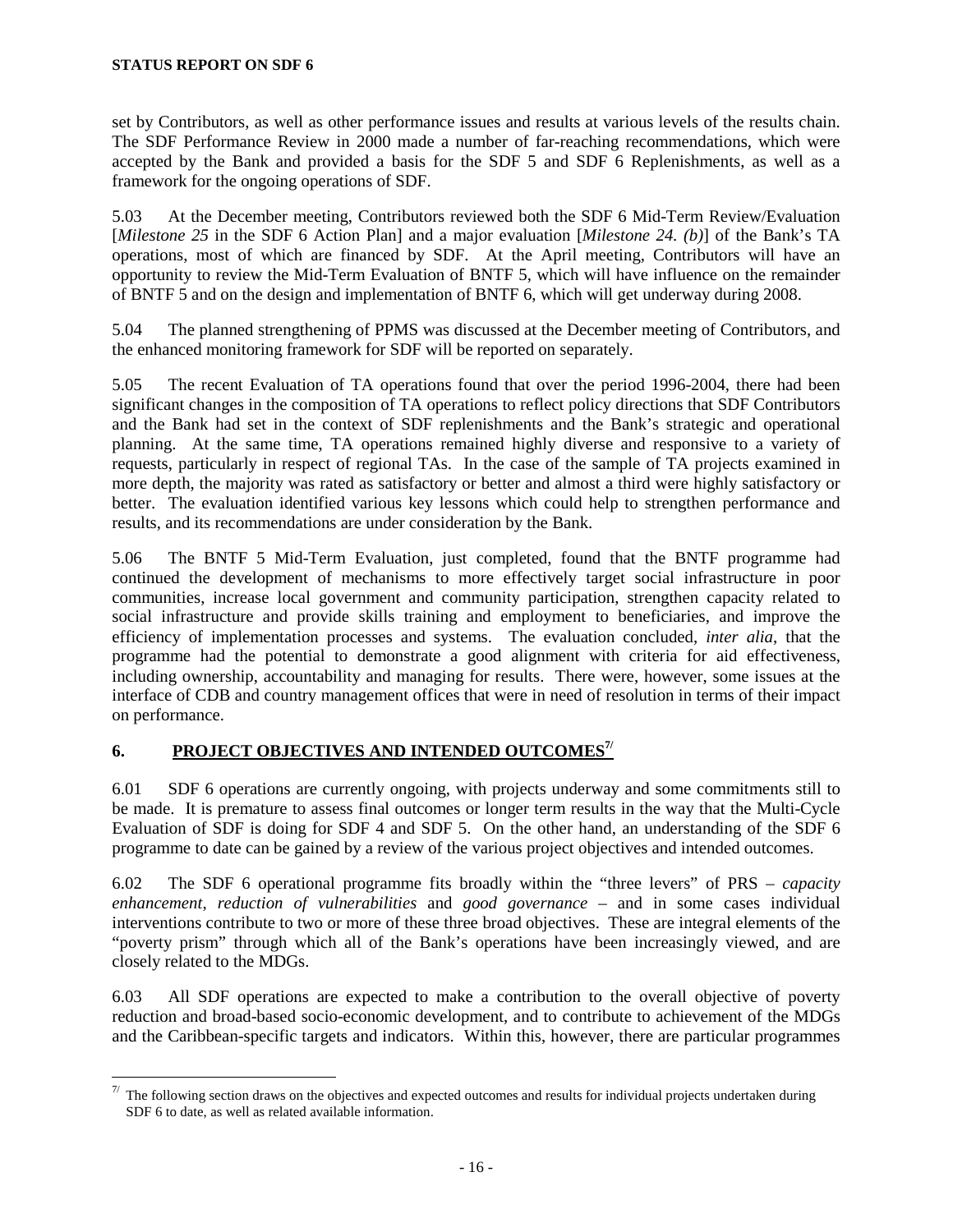<u>.</u>

set by Contributors, as well as other performance issues and results at various levels of the results chain. The SDF Performance Review in 2000 made a number of far-reaching recommendations, which were accepted by the Bank and provided a basis for the SDF 5 and SDF 6 Replenishments, as well as a framework for the ongoing operations of SDF.

5.03 At the December meeting, Contributors reviewed both the SDF 6 Mid-Term Review/Evaluation [*Milestone 25* in the SDF 6 Action Plan] and a major evaluation [*Milestone 24. (b)*] of the Bank's TA operations, most of which are financed by SDF. At the April meeting, Contributors will have an opportunity to review the Mid-Term Evaluation of BNTF 5, which will have influence on the remainder of BNTF 5 and on the design and implementation of BNTF 6, which will get underway during 2008.

5.04 The planned strengthening of PPMS was discussed at the December meeting of Contributors, and the enhanced monitoring framework for SDF will be reported on separately.

5.05 The recent Evaluation of TA operations found that over the period 1996-2004, there had been significant changes in the composition of TA operations to reflect policy directions that SDF Contributors and the Bank had set in the context of SDF replenishments and the Bank's strategic and operational planning. At the same time, TA operations remained highly diverse and responsive to a variety of requests, particularly in respect of regional TAs. In the case of the sample of TA projects examined in more depth, the majority was rated as satisfactory or better and almost a third were highly satisfactory or better. The evaluation identified various key lessons which could help to strengthen performance and results, and its recommendations are under consideration by the Bank.

5.06 The BNTF 5 Mid-Term Evaluation, just completed, found that the BNTF programme had continued the development of mechanisms to more effectively target social infrastructure in poor communities, increase local government and community participation, strengthen capacity related to social infrastructure and provide skills training and employment to beneficiaries, and improve the efficiency of implementation processes and systems. The evaluation concluded, *inter alia*, that the programme had the potential to demonstrate a good alignment with criteria for aid effectiveness, including ownership, accountability and managing for results. There were, however, some issues at the interface of CDB and country management offices that were in need of resolution in terms of their impact on performance.

## **6. PROJECT OBJECTIVES AND INTENDED OUTCOMES7/**

6.01 SDF 6 operations are currently ongoing, with projects underway and some commitments still to be made. It is premature to assess final outcomes or longer term results in the way that the Multi-Cycle Evaluation of SDF is doing for SDF 4 and SDF 5. On the other hand, an understanding of the SDF 6 programme to date can be gained by a review of the various project objectives and intended outcomes.

6.02 The SDF 6 operational programme fits broadly within the "three levers" of PRS – *capacity enhancement*, *reduction of vulnerabilities* and *good governance* – and in some cases individual interventions contribute to two or more of these three broad objectives. These are integral elements of the "poverty prism" through which all of the Bank's operations have been increasingly viewed, and are closely related to the MDGs.

6.03 All SDF operations are expected to make a contribution to the overall objective of poverty reduction and broad-based socio-economic development, and to contribute to achievement of the MDGs and the Caribbean-specific targets and indicators. Within this, however, there are particular programmes

 $\frac{7}{1}$  The following section draws on the objectives and expected outcomes and results for individual projects undertaken during SDF 6 to date, as well as related available information.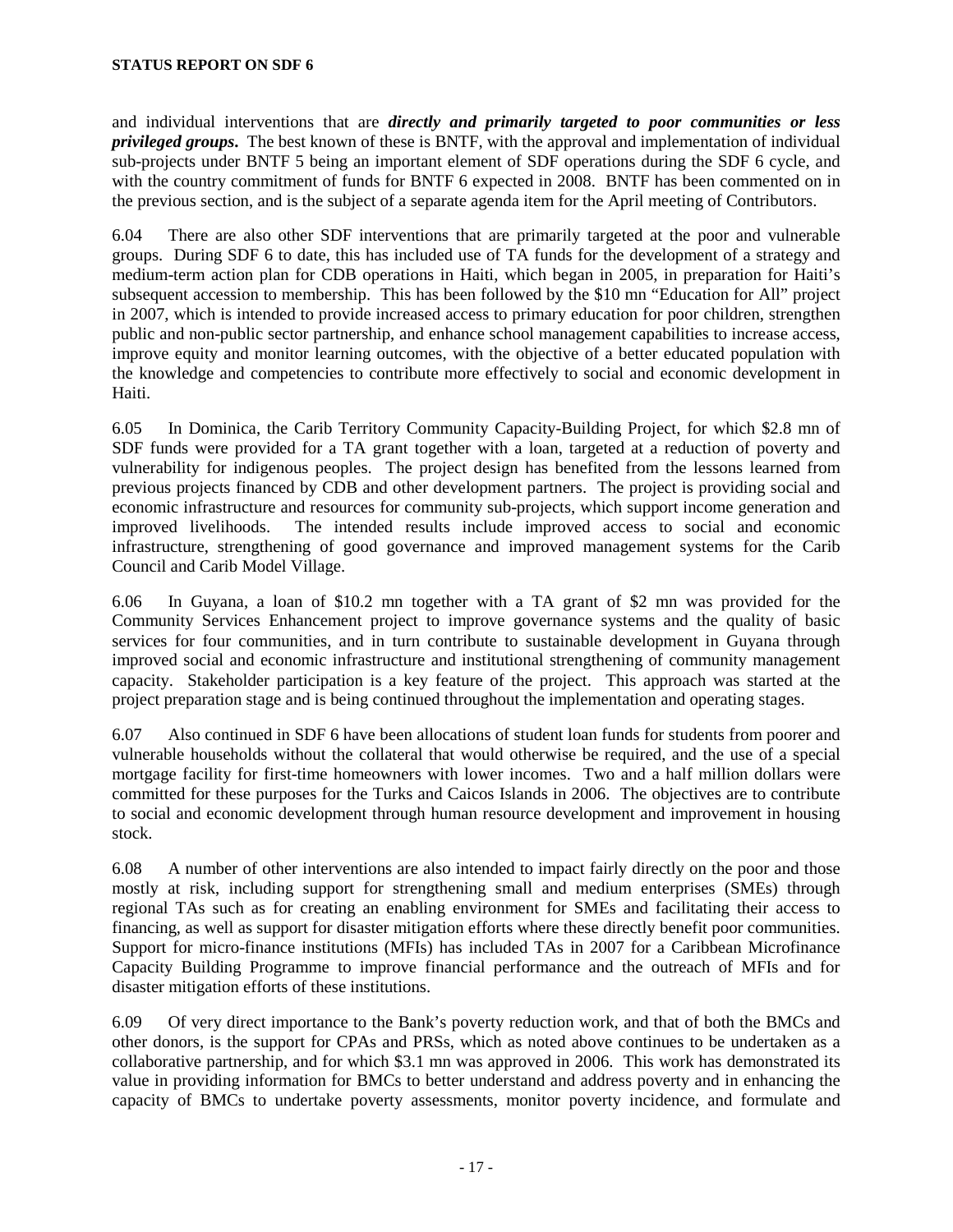and individual interventions that are *directly and primarily targeted to poor communities or less privileged groups***.** The best known of these is BNTF, with the approval and implementation of individual sub-projects under BNTF 5 being an important element of SDF operations during the SDF 6 cycle, and with the country commitment of funds for BNTF 6 expected in 2008. BNTF has been commented on in the previous section, and is the subject of a separate agenda item for the April meeting of Contributors.

6.04 There are also other SDF interventions that are primarily targeted at the poor and vulnerable groups. During SDF 6 to date, this has included use of TA funds for the development of a strategy and medium-term action plan for CDB operations in Haiti, which began in 2005, in preparation for Haiti's subsequent accession to membership. This has been followed by the \$10 mn "Education for All" project in 2007, which is intended to provide increased access to primary education for poor children, strengthen public and non-public sector partnership, and enhance school management capabilities to increase access, improve equity and monitor learning outcomes, with the objective of a better educated population with the knowledge and competencies to contribute more effectively to social and economic development in Haiti.

6.05 In Dominica, the Carib Territory Community Capacity-Building Project, for which \$2.8 mn of SDF funds were provided for a TA grant together with a loan, targeted at a reduction of poverty and vulnerability for indigenous peoples. The project design has benefited from the lessons learned from previous projects financed by CDB and other development partners. The project is providing social and economic infrastructure and resources for community sub-projects, which support income generation and improved livelihoods. The intended results include improved access to social and economic infrastructure, strengthening of good governance and improved management systems for the Carib Council and Carib Model Village.

6.06 In Guyana, a loan of \$10.2 mn together with a TA grant of \$2 mn was provided for the Community Services Enhancement project to improve governance systems and the quality of basic services for four communities, and in turn contribute to sustainable development in Guyana through improved social and economic infrastructure and institutional strengthening of community management capacity. Stakeholder participation is a key feature of the project. This approach was started at the project preparation stage and is being continued throughout the implementation and operating stages.

6.07 Also continued in SDF 6 have been allocations of student loan funds for students from poorer and vulnerable households without the collateral that would otherwise be required, and the use of a special mortgage facility for first-time homeowners with lower incomes. Two and a half million dollars were committed for these purposes for the Turks and Caicos Islands in 2006. The objectives are to contribute to social and economic development through human resource development and improvement in housing stock.

6.08 A number of other interventions are also intended to impact fairly directly on the poor and those mostly at risk, including support for strengthening small and medium enterprises (SMEs) through regional TAs such as for creating an enabling environment for SMEs and facilitating their access to financing, as well as support for disaster mitigation efforts where these directly benefit poor communities. Support for micro-finance institutions (MFIs) has included TAs in 2007 for a Caribbean Microfinance Capacity Building Programme to improve financial performance and the outreach of MFIs and for disaster mitigation efforts of these institutions.

6.09 Of very direct importance to the Bank's poverty reduction work, and that of both the BMCs and other donors, is the support for CPAs and PRSs, which as noted above continues to be undertaken as a collaborative partnership, and for which \$3.1 mn was approved in 2006. This work has demonstrated its value in providing information for BMCs to better understand and address poverty and in enhancing the capacity of BMCs to undertake poverty assessments, monitor poverty incidence, and formulate and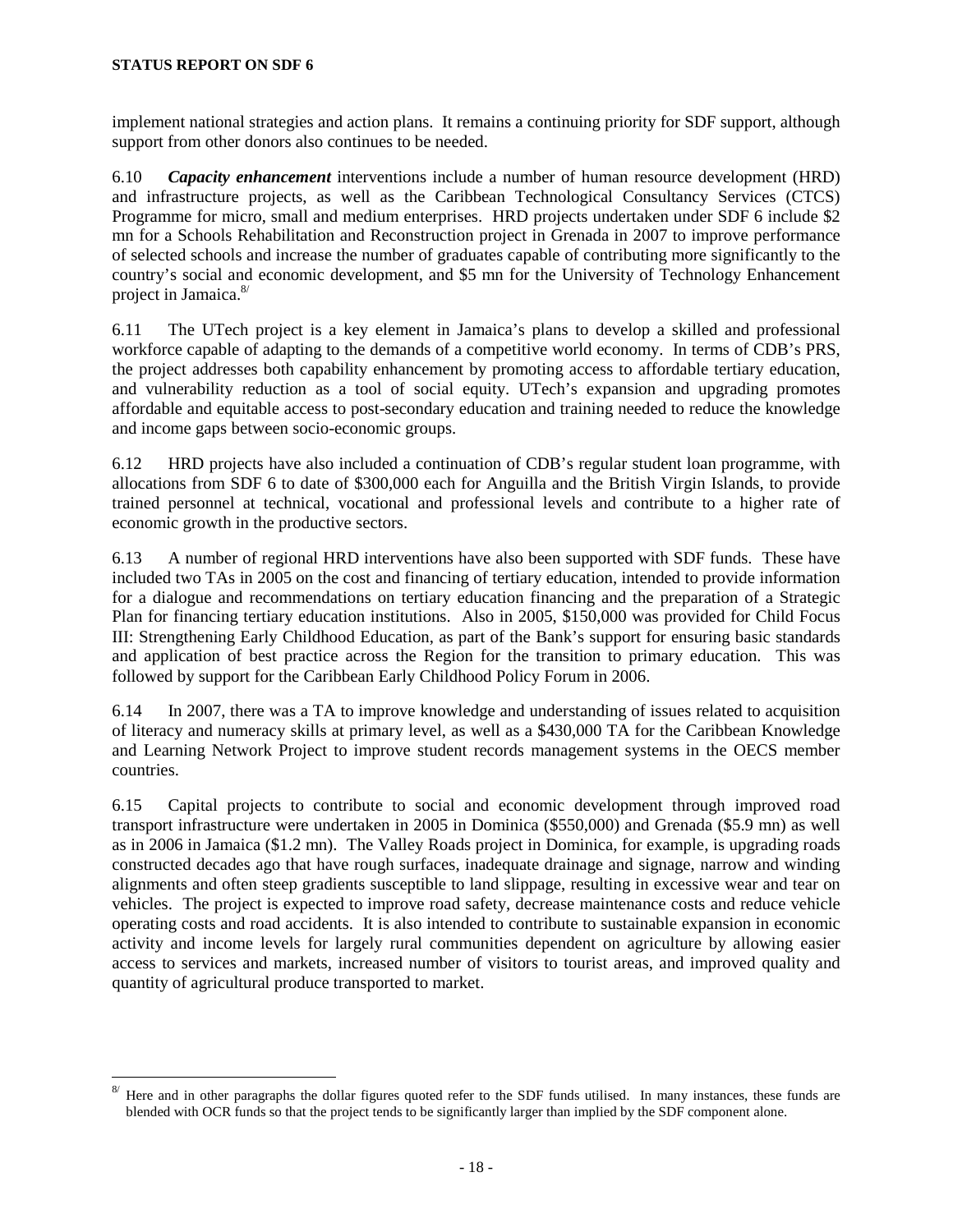<u>.</u>

implement national strategies and action plans. It remains a continuing priority for SDF support, although support from other donors also continues to be needed.

6.10 *Capacity enhancement* interventions include a number of human resource development (HRD) and infrastructure projects, as well as the Caribbean Technological Consultancy Services (CTCS) Programme for micro, small and medium enterprises. HRD projects undertaken under SDF 6 include \$2 mn for a Schools Rehabilitation and Reconstruction project in Grenada in 2007 to improve performance of selected schools and increase the number of graduates capable of contributing more significantly to the country's social and economic development, and \$5 mn for the University of Technology Enhancement project in Jamaica.<sup>8/</sup>

6.11 The UTech project is a key element in Jamaica's plans to develop a skilled and professional workforce capable of adapting to the demands of a competitive world economy. In terms of CDB's PRS, the project addresses both capability enhancement by promoting access to affordable tertiary education, and vulnerability reduction as a tool of social equity. UTech's expansion and upgrading promotes affordable and equitable access to post-secondary education and training needed to reduce the knowledge and income gaps between socio-economic groups.

6.12 HRD projects have also included a continuation of CDB's regular student loan programme, with allocations from SDF 6 to date of \$300,000 each for Anguilla and the British Virgin Islands, to provide trained personnel at technical, vocational and professional levels and contribute to a higher rate of economic growth in the productive sectors.

6.13 A number of regional HRD interventions have also been supported with SDF funds. These have included two TAs in 2005 on the cost and financing of tertiary education, intended to provide information for a dialogue and recommendations on tertiary education financing and the preparation of a Strategic Plan for financing tertiary education institutions. Also in 2005, \$150,000 was provided for Child Focus III: Strengthening Early Childhood Education, as part of the Bank's support for ensuring basic standards and application of best practice across the Region for the transition to primary education. This was followed by support for the Caribbean Early Childhood Policy Forum in 2006.

6.14 In 2007, there was a TA to improve knowledge and understanding of issues related to acquisition of literacy and numeracy skills at primary level, as well as a \$430,000 TA for the Caribbean Knowledge and Learning Network Project to improve student records management systems in the OECS member countries.

6.15 Capital projects to contribute to social and economic development through improved road transport infrastructure were undertaken in 2005 in Dominica (\$550,000) and Grenada (\$5.9 mn) as well as in 2006 in Jamaica (\$1.2 mn). The Valley Roads project in Dominica, for example, is upgrading roads constructed decades ago that have rough surfaces, inadequate drainage and signage, narrow and winding alignments and often steep gradients susceptible to land slippage, resulting in excessive wear and tear on vehicles. The project is expected to improve road safety, decrease maintenance costs and reduce vehicle operating costs and road accidents. It is also intended to contribute to sustainable expansion in economic activity and income levels for largely rural communities dependent on agriculture by allowing easier access to services and markets, increased number of visitors to tourist areas, and improved quality and quantity of agricultural produce transported to market.

<sup>8/</sup> Here and in other paragraphs the dollar figures quoted refer to the SDF funds utilised. In many instances, these funds are blended with OCR funds so that the project tends to be significantly larger than implied by the SDF component alone.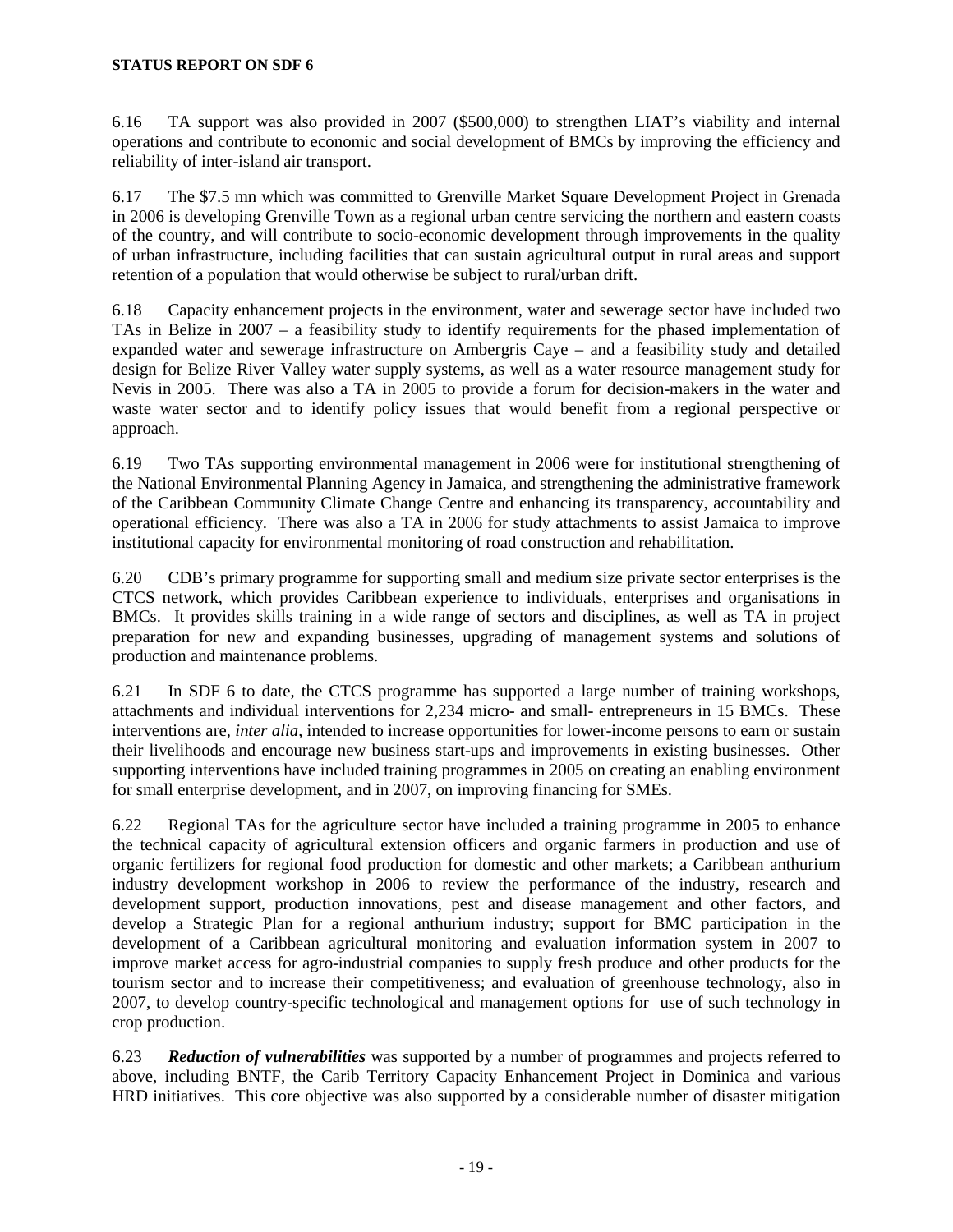6.16 TA support was also provided in 2007 (\$500,000) to strengthen LIAT's viability and internal operations and contribute to economic and social development of BMCs by improving the efficiency and reliability of inter-island air transport.

6.17 The \$7.5 mn which was committed to Grenville Market Square Development Project in Grenada in 2006 is developing Grenville Town as a regional urban centre servicing the northern and eastern coasts of the country, and will contribute to socio-economic development through improvements in the quality of urban infrastructure, including facilities that can sustain agricultural output in rural areas and support retention of a population that would otherwise be subject to rural/urban drift.

6.18 Capacity enhancement projects in the environment, water and sewerage sector have included two TAs in Belize in 2007 – a feasibility study to identify requirements for the phased implementation of expanded water and sewerage infrastructure on Ambergris Caye – and a feasibility study and detailed design for Belize River Valley water supply systems, as well as a water resource management study for Nevis in 2005. There was also a TA in 2005 to provide a forum for decision-makers in the water and waste water sector and to identify policy issues that would benefit from a regional perspective or approach.

6.19 Two TAs supporting environmental management in 2006 were for institutional strengthening of the National Environmental Planning Agency in Jamaica, and strengthening the administrative framework of the Caribbean Community Climate Change Centre and enhancing its transparency, accountability and operational efficiency. There was also a TA in 2006 for study attachments to assist Jamaica to improve institutional capacity for environmental monitoring of road construction and rehabilitation.

6.20 CDB's primary programme for supporting small and medium size private sector enterprises is the CTCS network, which provides Caribbean experience to individuals, enterprises and organisations in BMCs. It provides skills training in a wide range of sectors and disciplines, as well as TA in project preparation for new and expanding businesses, upgrading of management systems and solutions of production and maintenance problems.

6.21 In SDF 6 to date, the CTCS programme has supported a large number of training workshops, attachments and individual interventions for 2,234 micro- and small- entrepreneurs in 15 BMCs. These interventions are, *inter alia*, intended to increase opportunities for lower-income persons to earn or sustain their livelihoods and encourage new business start-ups and improvements in existing businesses. Other supporting interventions have included training programmes in 2005 on creating an enabling environment for small enterprise development, and in 2007, on improving financing for SMEs.

6.22 Regional TAs for the agriculture sector have included a training programme in 2005 to enhance the technical capacity of agricultural extension officers and organic farmers in production and use of organic fertilizers for regional food production for domestic and other markets; a Caribbean anthurium industry development workshop in 2006 to review the performance of the industry, research and development support, production innovations, pest and disease management and other factors, and develop a Strategic Plan for a regional anthurium industry; support for BMC participation in the development of a Caribbean agricultural monitoring and evaluation information system in 2007 to improve market access for agro-industrial companies to supply fresh produce and other products for the tourism sector and to increase their competitiveness; and evaluation of greenhouse technology, also in 2007, to develop country-specific technological and management options for use of such technology in crop production.

6.23 *Reduction of vulnerabilities* was supported by a number of programmes and projects referred to above, including BNTF, the Carib Territory Capacity Enhancement Project in Dominica and various HRD initiatives. This core objective was also supported by a considerable number of disaster mitigation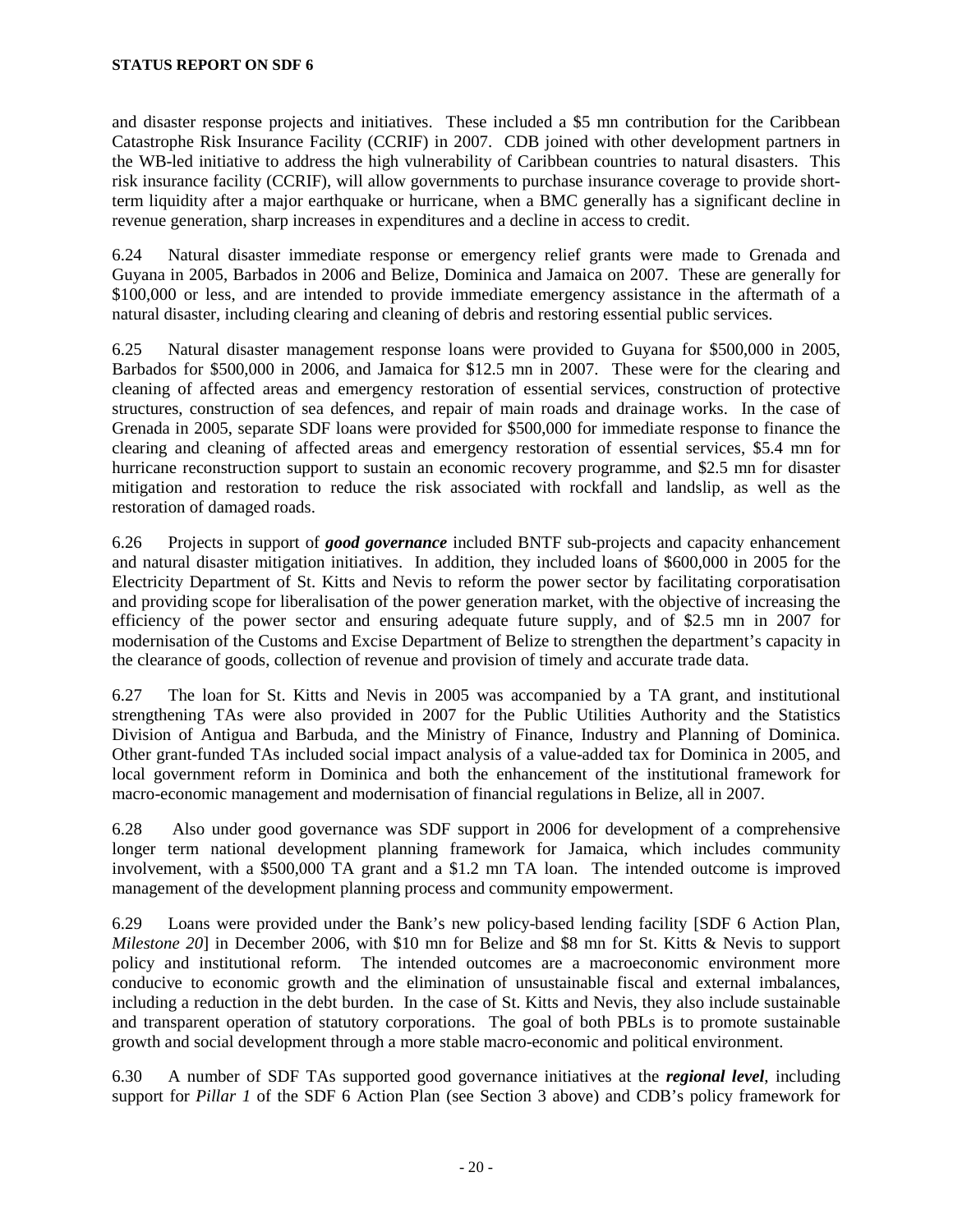and disaster response projects and initiatives. These included a \$5 mn contribution for the Caribbean Catastrophe Risk Insurance Facility (CCRIF) in 2007. CDB joined with other development partners in the WB-led initiative to address the high vulnerability of Caribbean countries to natural disasters. This risk insurance facility (CCRIF), will allow governments to purchase insurance coverage to provide shortterm liquidity after a major earthquake or hurricane, when a BMC generally has a significant decline in revenue generation, sharp increases in expenditures and a decline in access to credit.

6.24 Natural disaster immediate response or emergency relief grants were made to Grenada and Guyana in 2005, Barbados in 2006 and Belize, Dominica and Jamaica on 2007. These are generally for \$100,000 or less, and are intended to provide immediate emergency assistance in the aftermath of a natural disaster, including clearing and cleaning of debris and restoring essential public services.

6.25 Natural disaster management response loans were provided to Guyana for \$500,000 in 2005, Barbados for \$500,000 in 2006, and Jamaica for \$12.5 mn in 2007. These were for the clearing and cleaning of affected areas and emergency restoration of essential services, construction of protective structures, construction of sea defences, and repair of main roads and drainage works. In the case of Grenada in 2005, separate SDF loans were provided for \$500,000 for immediate response to finance the clearing and cleaning of affected areas and emergency restoration of essential services, \$5.4 mn for hurricane reconstruction support to sustain an economic recovery programme, and \$2.5 mn for disaster mitigation and restoration to reduce the risk associated with rockfall and landslip, as well as the restoration of damaged roads.

6.26 Projects in support of *good governance* included BNTF sub-projects and capacity enhancement and natural disaster mitigation initiatives. In addition, they included loans of \$600,000 in 2005 for the Electricity Department of St. Kitts and Nevis to reform the power sector by facilitating corporatisation and providing scope for liberalisation of the power generation market, with the objective of increasing the efficiency of the power sector and ensuring adequate future supply, and of \$2.5 mn in 2007 for modernisation of the Customs and Excise Department of Belize to strengthen the department's capacity in the clearance of goods, collection of revenue and provision of timely and accurate trade data.

6.27 The loan for St. Kitts and Nevis in 2005 was accompanied by a TA grant, and institutional strengthening TAs were also provided in 2007 for the Public Utilities Authority and the Statistics Division of Antigua and Barbuda, and the Ministry of Finance, Industry and Planning of Dominica. Other grant-funded TAs included social impact analysis of a value-added tax for Dominica in 2005, and local government reform in Dominica and both the enhancement of the institutional framework for macro-economic management and modernisation of financial regulations in Belize, all in 2007.

6.28 Also under good governance was SDF support in 2006 for development of a comprehensive longer term national development planning framework for Jamaica, which includes community involvement, with a \$500,000 TA grant and a \$1.2 mn TA loan. The intended outcome is improved management of the development planning process and community empowerment.

6.29 Loans were provided under the Bank's new policy-based lending facility [SDF 6 Action Plan, *Milestone 20*] in December 2006, with \$10 mn for Belize and \$8 mn for St. Kitts & Nevis to support policy and institutional reform. The intended outcomes are a macroeconomic environment more conducive to economic growth and the elimination of unsustainable fiscal and external imbalances, including a reduction in the debt burden. In the case of St. Kitts and Nevis, they also include sustainable and transparent operation of statutory corporations. The goal of both PBLs is to promote sustainable growth and social development through a more stable macro-economic and political environment.

6.30 A number of SDF TAs supported good governance initiatives at the *regional level*, including support for *Pillar 1* of the SDF 6 Action Plan (see Section 3 above) and CDB's policy framework for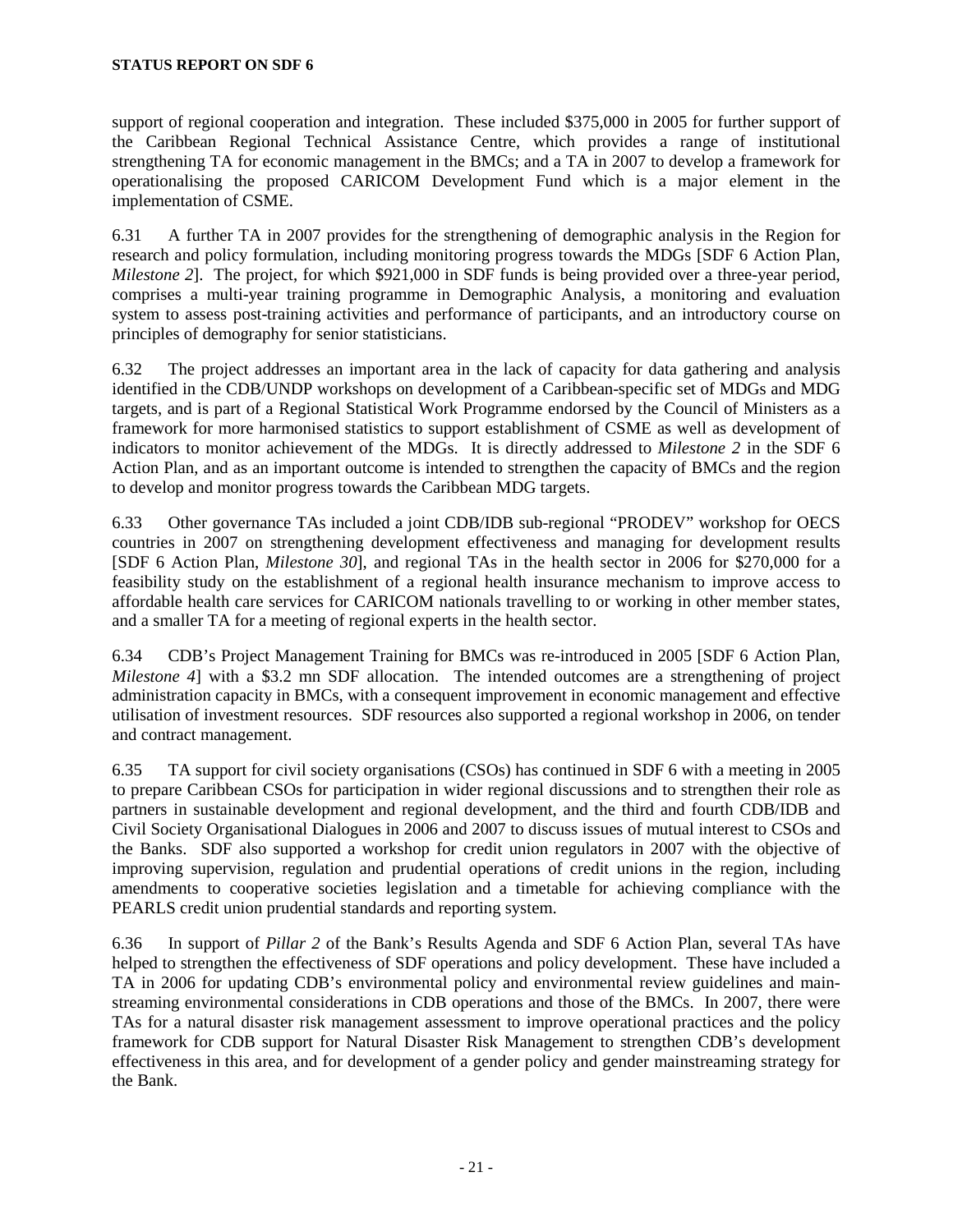support of regional cooperation and integration. These included \$375,000 in 2005 for further support of the Caribbean Regional Technical Assistance Centre, which provides a range of institutional strengthening TA for economic management in the BMCs; and a TA in 2007 to develop a framework for operationalising the proposed CARICOM Development Fund which is a major element in the implementation of CSME.

6.31 A further TA in 2007 provides for the strengthening of demographic analysis in the Region for research and policy formulation, including monitoring progress towards the MDGs [SDF 6 Action Plan, *Milestone 2*]. The project, for which \$921,000 in SDF funds is being provided over a three-year period, comprises a multi-year training programme in Demographic Analysis, a monitoring and evaluation system to assess post-training activities and performance of participants, and an introductory course on principles of demography for senior statisticians.

6.32 The project addresses an important area in the lack of capacity for data gathering and analysis identified in the CDB/UNDP workshops on development of a Caribbean-specific set of MDGs and MDG targets, and is part of a Regional Statistical Work Programme endorsed by the Council of Ministers as a framework for more harmonised statistics to support establishment of CSME as well as development of indicators to monitor achievement of the MDGs. It is directly addressed to *Milestone 2* in the SDF 6 Action Plan, and as an important outcome is intended to strengthen the capacity of BMCs and the region to develop and monitor progress towards the Caribbean MDG targets.

6.33 Other governance TAs included a joint CDB/IDB sub-regional "PRODEV" workshop for OECS countries in 2007 on strengthening development effectiveness and managing for development results [SDF 6 Action Plan, *Milestone 30*], and regional TAs in the health sector in 2006 for \$270,000 for a feasibility study on the establishment of a regional health insurance mechanism to improve access to affordable health care services for CARICOM nationals travelling to or working in other member states, and a smaller TA for a meeting of regional experts in the health sector.

6.34 CDB's Project Management Training for BMCs was re-introduced in 2005 [SDF 6 Action Plan, *Milestone 4*] with a \$3.2 mn SDF allocation. The intended outcomes are a strengthening of project administration capacity in BMCs, with a consequent improvement in economic management and effective utilisation of investment resources. SDF resources also supported a regional workshop in 2006, on tender and contract management.

6.35 TA support for civil society organisations (CSOs) has continued in SDF 6 with a meeting in 2005 to prepare Caribbean CSOs for participation in wider regional discussions and to strengthen their role as partners in sustainable development and regional development, and the third and fourth CDB/IDB and Civil Society Organisational Dialogues in 2006 and 2007 to discuss issues of mutual interest to CSOs and the Banks. SDF also supported a workshop for credit union regulators in 2007 with the objective of improving supervision, regulation and prudential operations of credit unions in the region, including amendments to cooperative societies legislation and a timetable for achieving compliance with the PEARLS credit union prudential standards and reporting system.

6.36 In support of *Pillar 2* of the Bank's Results Agenda and SDF 6 Action Plan, several TAs have helped to strengthen the effectiveness of SDF operations and policy development. These have included a TA in 2006 for updating CDB's environmental policy and environmental review guidelines and mainstreaming environmental considerations in CDB operations and those of the BMCs. In 2007, there were TAs for a natural disaster risk management assessment to improve operational practices and the policy framework for CDB support for Natural Disaster Risk Management to strengthen CDB's development effectiveness in this area, and for development of a gender policy and gender mainstreaming strategy for the Bank.